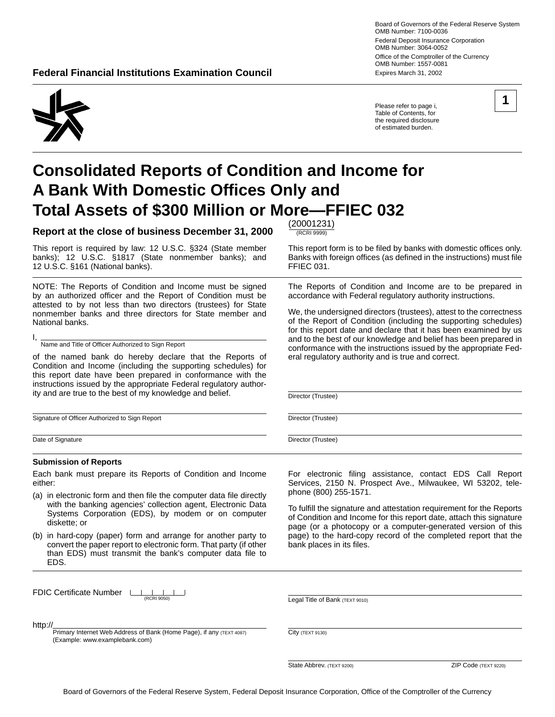Board of Governors of the Federal Reserve System OMB Number: 7100-0036 Federal Deposit Insurance Corporation OMB Number: 3064-0052 Office of the Comptroller of the Currency OMB Number: 1557-0081 **Federal Financial Institutions Examination Council <b>Expires March 31, 2002** Expires March 31, 2002

Please refer to page i, Table of Contents, for the required disclosure of estimated burden.

# **Consolidated Reports of Condition and Income for A Bank With Domestic Offices Only and Total Assets of \$300 Million or More—FFIEC 032**

Report at the close of business December 31, 2000 **FIECRI 9999** 

This report is required by law: 12 U.S.C. §324 (State member This report form is to be filed by banks with domestic offices only.<br>
banks); 12 U.S.C. §1817 (State nonmember banks); and Banks with foreign offices (as defined 12 U.S.C. §161 (National banks).

NOTE: The Reports of Condition and Income must be signed by an authorized officer and the Report of Condition must be attested to by not less than two directors (trustees) for State nonmember banks and three directors for State member and National banks.

I, Name and Title of Officer Authorized to Sign Report

of the named bank do hereby declare that the Reports of Condition and Income (including the supporting schedules) for this report date have been prepared in conformance with the instructions issued by the appropriate Federal regulatory authority and are true to the best of my knowledge and belief.

Signature of Officer Authorized to Sign Report

Date of Signature

#### **Submission of Reports**

Each bank must prepare its Reports of Condition and Income either:

- (a) in electronic form and then file the computer data file directly with the banking agencies' collection agent, Electronic Data Systems Corporation (EDS), by modem or on computer diskette; or
- (b) in hard-copy (paper) form and arrange for another party to convert the paper report to electronic form. That party (if other than EDS) must transmit the bank's computer data file to EDS.

FDIC Certificate Number  $\Box$ 

Primary Internet Web Address of Bank (Home Page), if any (TEXT 4087)

Banks with foreign offices (as defined in the instructions) must file<br>FFIEC 031.

The Reports of Condition and Income are to be prepared in accordance with Federal regulatory authority instructions.

We, the undersigned directors (trustees), attest to the correctness of the Report of Condition (including the supporting schedules) for this report date and declare that it has been examined by us and to the best of our knowledge and belief has been prepared in conformance with the instructions issued by the appropriate Federal regulatory authority and is true and correct.

Director (Trustee)

Director (Trustee)

Director (Trustee)

For electronic filing assistance, contact EDS Call Report Services, 2150 N. Prospect Ave., Milwaukee, WI 53202, telephone (800) 255-1571.

To fulfill the signature and attestation requirement for the Reports of Condition and Income for this report date, attach this signature page (or a photocopy or a computer-generated version of this page) to the hard-copy record of the completed report that the bank places in its files.

(RCRI 9050) Legal Title of Bank (TEXT 9010)

http://

(Example: www.examplebank.com)

State Abbrev. (TEXT 9200) Code (TEXT 9220)

City (TEXT 9130)

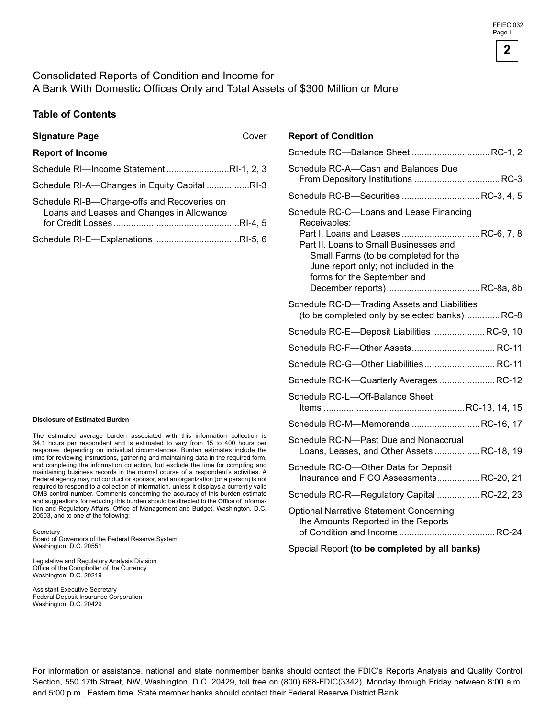#### Consolidated Reports of Condition and Income for A Bank With Domestic Offices Only and Total Assets of \$300 Million or More

#### **Table of Contents**

| <b>Signature Page</b>                                                                    | Cover |
|------------------------------------------------------------------------------------------|-------|
| <b>Report of Income</b>                                                                  |       |
| Schedule RI-Income StatementRI-1, 2, 3                                                   |       |
| Schedule RI-A—Changes in Equity Capital RI-3                                             |       |
| Schedule RI-B-Charge-offs and Recoveries on<br>Loans and Leases and Changes in Allowance |       |
|                                                                                          |       |
|                                                                                          |       |

#### **Disclosure of Estimated Burden**

The estimated average burden associated with this information collection is 34.1 hours per respondent and is estimated to vary from 15 to 400 hours per response, depending on individual circumstances. Burden estimates include the time for reviewing instructions, gathering and maintaining data in the required form, and completing the information collection, but exclude the time for compiling and maintaining business records in the normal course of a respondent's activities. A Federal agency may not conduct or sponsor, and an organization (or a person) is not required to respond to a collection of information, unless it displays a currently valid OMB control number. Comments concerning the accuracy of this burden estimate and suggestions for reducing this burden should be directed to the Office of Information and Regulatory Affairs, Office of Management and Budget, Washington, D.C. 20503, and to one of the following:

**Secretary** Board of Governors of the Federal Reserve System Washington, D.C. 20551

Legislative and Regulatory Analysis Division Office of the Comptroller of the Currency Washington, D.C. 20219

Assistant Executive Secretary Federal Deposit Insurance Corporation Washington, D.C. 20429

#### **Report of Condition**

| Schedule RC-Balance Sheet  RC-1, 2                                                                                                                                               |  |
|----------------------------------------------------------------------------------------------------------------------------------------------------------------------------------|--|
| Schedule RC-A-Cash and Balances Due                                                                                                                                              |  |
| Schedule RC-B-Securities RC-3, 4, 5                                                                                                                                              |  |
| Schedule RC-C-Loans and Lease Financing<br>Receivables:<br>Part I. Loans and Leases RC-6, 7, 8<br>Part II. Loans to Small Businesses and<br>Small Farms (to be completed for the |  |
| June report only; not included in the<br>forms for the September and                                                                                                             |  |
| Schedule RC-D-Trading Assets and Liabilities<br>(to be completed only by selected banks)RC-8                                                                                     |  |
| Schedule RC-E-Deposit Liabilities  RC-9, 10                                                                                                                                      |  |
|                                                                                                                                                                                  |  |
| Schedule RC-G-Other Liabilities RC-11                                                                                                                                            |  |
| Schedule RC-K-Quarterly Averages  RC-12                                                                                                                                          |  |
| Schedule RC-L-Off-Balance Sheet                                                                                                                                                  |  |
| Schedule RC-M-Memoranda  RC-16, 17                                                                                                                                               |  |
| Schedule RC-N-Past Due and Nonaccrual<br>Loans, Leases, and Other Assets RC-18, 19                                                                                               |  |
| Schedule RC-O-Other Data for Deposit<br>Insurance and FICO AssessmentsRC-20, 21                                                                                                  |  |
| Schedule RC-R-Regulatory Capital  RC-22, 23                                                                                                                                      |  |
| <b>Optional Narrative Statement Concerning</b><br>the Amounts Reported in the Reports                                                                                            |  |
|                                                                                                                                                                                  |  |

#### Special Report **(to be completed by all banks)**

For information or assistance, national and state nonmember banks should contact the FDIC's Reports Analysis and Quality Control Section, 550 17th Street, NW, Washington, D.C. 20429, toll free on (800) 688-FDIC(3342), Monday through Friday between 8:00 a.m. and 5:00 p.m., Eastern time. State member banks should contact their Federal Reserve District Bank.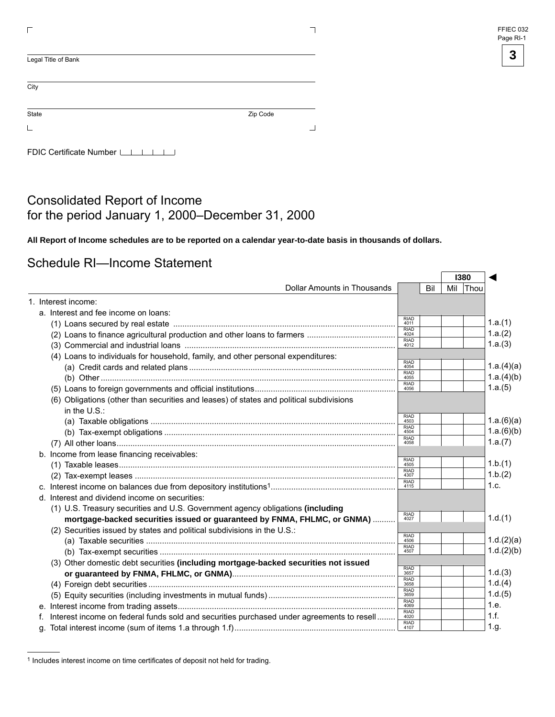| FFIEC 032 |  |
|-----------|--|
| Page RI-1 |  |

| Legal Title of Bank       |          |  |
|---------------------------|----------|--|
| City                      |          |  |
| State                     | Zip Code |  |
|                           |          |  |
| FDIC Certificate Number L |          |  |

#### Consolidated Report of Income for the period January 1, 2000–December 31, 2000

**All Report of Income schedules are to be reported on a calendar year-to-date basis in thousands of dollars.** 

#### Schedule RI—Income Statement

|    |                                                                                           |                                    | 1380 |     |      |            |  |
|----|-------------------------------------------------------------------------------------------|------------------------------------|------|-----|------|------------|--|
|    | Dollar Amounts in Thousands                                                               |                                    | Bil  | Mil | Thou |            |  |
|    | 1. Interest income:                                                                       |                                    |      |     |      |            |  |
|    | a. Interest and fee income on loans:                                                      |                                    |      |     |      |            |  |
|    |                                                                                           | <b>RIAD</b><br>4011                |      |     |      | 1.a.(1)    |  |
|    |                                                                                           | <b>RIAD</b><br>4024                |      |     |      | 1.a.(2)    |  |
|    |                                                                                           | <b>RIAD</b><br>4012                |      |     |      | 1.a.(3)    |  |
|    | (4) Loans to individuals for household, family, and other personal expenditures:          |                                    |      |     |      |            |  |
|    |                                                                                           | <b>RIAD</b><br>4054                |      |     |      | 1.a.(4)(a) |  |
|    |                                                                                           | <b>RIAD</b><br>4055                |      |     |      | 1.a.(4)(b) |  |
|    |                                                                                           | <b>RIAD</b><br>4056                |      |     |      | 1.a.(5)    |  |
|    | (6) Obligations (other than securities and leases) of states and political subdivisions   |                                    |      |     |      |            |  |
|    | in the $U.S.:$                                                                            |                                    |      |     |      |            |  |
|    |                                                                                           | RIAD<br>4503                       |      |     |      | 1.a.(6)(a) |  |
|    |                                                                                           | <b>RIAD</b><br>4504                |      |     |      | 1.a.(6)(b) |  |
|    |                                                                                           | <b>RIAD</b><br>4058                |      |     |      | 1.a.(7)    |  |
|    | b. Income from lease financing receivables:                                               |                                    |      |     |      |            |  |
|    |                                                                                           | <b>RIAD</b><br>4505<br><b>RIAD</b> |      |     |      | 1.b.(1)    |  |
|    |                                                                                           | 4307<br><b>RIAD</b>                |      |     |      | 1.b.(2)    |  |
|    |                                                                                           | 4115                               |      |     |      | 1.c.       |  |
|    | d. Interest and dividend income on securities:                                            |                                    |      |     |      |            |  |
|    | (1) U.S. Treasury securities and U.S. Government agency obligations (including            |                                    |      |     |      |            |  |
|    | mortgage-backed securities issued or guaranteed by FNMA, FHLMC, or GNMA)                  | <b>RIAD</b><br>4027                |      |     |      | 1.d.(1)    |  |
|    | (2) Securities issued by states and political subdivisions in the U.S.:                   | <b>RIAD</b>                        |      |     |      |            |  |
|    |                                                                                           | 4506<br><b>RIAD</b>                |      |     |      | 1.d.(2)(a) |  |
|    |                                                                                           | 4507                               |      |     |      | 1.d.(2)(b) |  |
|    | (3) Other domestic debt securities (including mortgage-backed securities not issued       |                                    |      |     |      |            |  |
|    |                                                                                           | RIAD<br>3657<br><b>RIAD</b>        |      |     |      | 1.d.(3)    |  |
|    |                                                                                           | 3658<br><b>RIAD</b>                |      |     |      | 1.d.(4)    |  |
|    |                                                                                           | 3659<br><b>RIAD</b>                |      |     |      | 1.d.(5)    |  |
|    |                                                                                           | 4069<br><b>RIAD</b>                |      |     |      | 1.e.       |  |
| f. | Interest income on federal funds sold and securities purchased under agreements to resell | 4020                               |      |     |      | 1.f.       |  |
|    |                                                                                           | RIAD<br>4107                       |      |     |      | 1.g.       |  |

<sup>1</sup> Includes interest income on time certificates of deposit not held for trading.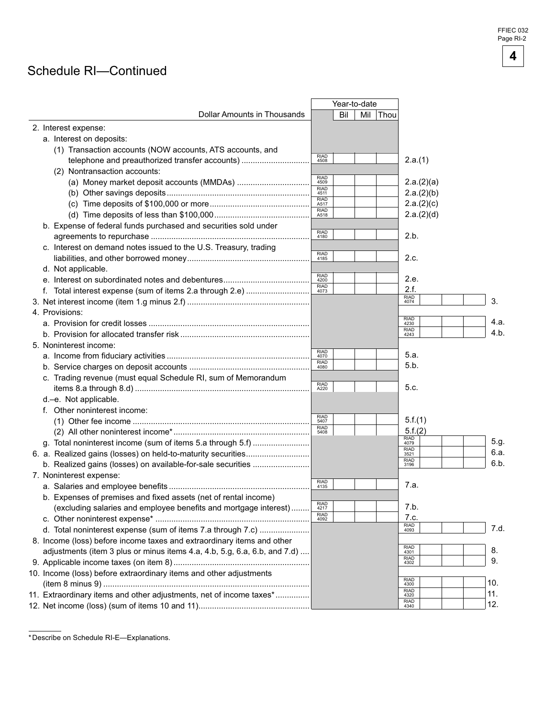#### Schedule RI—Continued

|                |                                                                           |                     | Year-to-date |     |      |                     |      |
|----------------|---------------------------------------------------------------------------|---------------------|--------------|-----|------|---------------------|------|
|                | <b>Dollar Amounts in Thousands</b>                                        |                     | Bil          | Mil | Thou |                     |      |
|                | 2. Interest expense:                                                      |                     |              |     |      |                     |      |
|                | a. Interest on deposits:                                                  |                     |              |     |      |                     |      |
|                | (1) Transaction accounts (NOW accounts, ATS accounts, and                 |                     |              |     |      |                     |      |
|                | telephone and preauthorized transfer accounts)                            | <b>RIAD</b><br>4508 |              |     |      | 2.a.(1)             |      |
|                | (2) Nontransaction accounts:                                              |                     |              |     |      |                     |      |
|                |                                                                           | <b>RIAD</b><br>4509 |              |     |      | 2.a.(2)(a)          |      |
|                |                                                                           | RIAD<br>4511        |              |     |      | 2.a.(2)(b)          |      |
|                |                                                                           | <b>RIAD</b><br>A517 |              |     |      | 2.a.(2)(c)          |      |
|                |                                                                           | <b>RIAD</b><br>A518 |              |     |      | 2.a.(2)(d)          |      |
|                | b. Expense of federal funds purchased and securities sold under           |                     |              |     |      |                     |      |
|                |                                                                           | <b>RIAD</b><br>4180 |              |     |      | 2.b.                |      |
|                |                                                                           |                     |              |     |      |                     |      |
|                | c. Interest on demand notes issued to the U.S. Treasury, trading          | <b>RIAD</b>         |              |     |      |                     |      |
|                |                                                                           | 4185                |              |     |      | 2.c.                |      |
|                | d. Not applicable.                                                        | <b>RIAD</b>         |              |     |      |                     |      |
|                |                                                                           | 4200                |              |     |      | 2.e.                |      |
|                |                                                                           | RIAD<br>4073        |              |     |      | 2.f.<br><b>RIAD</b> |      |
|                |                                                                           |                     |              |     |      | 4074                | 3.   |
| 4. Provisions: |                                                                           |                     |              |     |      | <b>RIAD</b>         |      |
|                |                                                                           |                     |              |     |      | 4230<br><b>RIAD</b> | 4.a. |
|                |                                                                           |                     |              |     |      | 4243                | 4.b. |
|                | 5. Noninterest income:                                                    |                     |              |     |      |                     |      |
|                |                                                                           | <b>RIAD</b><br>4070 |              |     |      | 5.a.                |      |
|                |                                                                           | <b>RIAD</b><br>4080 |              |     |      | 5.b.                |      |
|                | c. Trading revenue (must equal Schedule RI, sum of Memorandum             |                     |              |     |      |                     |      |
|                |                                                                           | <b>RIAD</b><br>A220 |              |     |      | 5.c.                |      |
|                | d.-e. Not applicable.                                                     |                     |              |     |      |                     |      |
|                | f. Other noninterest income:                                              |                     |              |     |      |                     |      |
|                |                                                                           | <b>RIAD</b><br>5407 |              |     |      | 5.f.(1)             |      |
|                |                                                                           | RIAD<br>5408        |              |     |      | 5.f.(2)             |      |
|                | g. Total noninterest income (sum of items 5.a through 5.f)                |                     |              |     |      | <b>RIAD</b><br>4079 | 5.g. |
|                |                                                                           |                     |              |     |      | <b>RIAD</b><br>3521 | 6.a. |
|                |                                                                           |                     |              |     |      | <b>RIAD</b><br>3196 | 6.b. |
|                | 7. Noninterest expense:                                                   |                     |              |     |      |                     |      |
|                |                                                                           | RIAD<br>4135        |              |     |      | 7.a.                |      |
|                |                                                                           |                     |              |     |      |                     |      |
|                | b. Expenses of premises and fixed assets (net of rental income)           | <b>RIAD</b>         |              |     |      | 7.b.                |      |
|                | (excluding salaries and employee benefits and mortgage interest)          | 4217<br><b>RIAD</b> |              |     |      | 7.c.                |      |
|                |                                                                           |                     |              |     |      | <b>RIAD</b>         | 7.d. |
|                | d. Total noninterest expense (sum of items 7.a through 7.c)               |                     |              |     |      | 4093                |      |
|                | 8. Income (loss) before income taxes and extraordinary items and other    |                     |              |     |      | <b>RIAD</b>         |      |
|                | adjustments (item 3 plus or minus items 4.a, 4.b, 5.g, 6.a, 6.b, and 7.d) |                     |              |     |      | 4301<br><b>RIAD</b> | 8.   |
|                |                                                                           |                     |              |     |      | 4302                | 9.   |
|                | 10. Income (loss) before extraordinary items and other adjustments        |                     |              |     |      | <b>RIAD</b>         |      |
|                |                                                                           |                     |              |     |      | 4300<br><b>RIAD</b> | 10.  |
|                | 11. Extraordinary items and other adjustments, net of income taxes*       |                     |              |     |      | 4320<br><b>RIAD</b> | 11.  |
|                |                                                                           |                     |              |     |      | 4340                | 12.  |

<sup>\*</sup> Describe on Schedule RI-E—Explanations.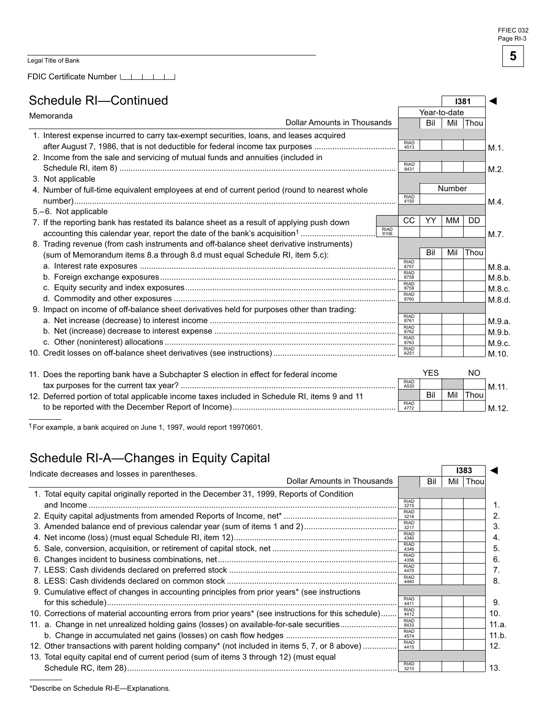**I381** 

 $\sqrt{ }$ 

◄

FDIC Certificate Number LILILI

### Schedule RI—Continued

| Memoranda                   |                                                                                               | Year-to-date        |                             |            |        |      |         |
|-----------------------------|-----------------------------------------------------------------------------------------------|---------------------|-----------------------------|------------|--------|------|---------|
| Dollar Amounts in Thousands |                                                                                               |                     |                             | Bil        | Mil    | Thou |         |
|                             | 1. Interest expense incurred to carry tax-exempt securities, loans, and leases acquired       |                     |                             |            |        |      |         |
|                             | after August 7, 1986, that is not deductible for federal income tax purposes                  |                     | <b>RIAD</b><br>4513         |            |        |      | $M.1$ . |
|                             | 2. Income from the sale and servicing of mutual funds and annuities (included in              |                     |                             |            |        |      |         |
|                             |                                                                                               |                     | <b>RIAD</b><br>8431         |            |        |      | $M.2$ . |
|                             | 3. Not applicable                                                                             |                     |                             |            |        |      |         |
|                             | 4. Number of full-time equivalent employees at end of current period (round to nearest whole  |                     |                             |            | Number |      |         |
|                             |                                                                                               |                     | <b>RIAD</b><br>4150         |            |        |      | M.4.    |
|                             | 5.-6. Not applicable                                                                          |                     |                             |            |        |      |         |
|                             | 7. If the reporting bank has restated its balance sheet as a result of applying push down     |                     | CC                          | YY         | MM     | DD   |         |
|                             |                                                                                               | <b>RIAD</b><br>9106 |                             |            |        |      | M.7.    |
|                             | 8. Trading revenue (from cash instruments and off-balance sheet derivative instruments)       |                     |                             |            |        |      |         |
|                             | (sum of Memorandum items 8.a through 8.d must equal Schedule RI, item 5.c):                   |                     |                             | Bil        | Mil    | Thou |         |
|                             |                                                                                               |                     | <b>RIAD</b><br>8757         |            |        |      | M.8.a.  |
|                             |                                                                                               |                     | <b>RIAD</b><br>8758         |            |        |      | M.8.b.  |
|                             |                                                                                               |                     | RIAD<br>8759                |            |        |      | M.8.c.  |
|                             |                                                                                               |                     | <b>RIAD</b><br>8760         |            |        |      | M.8.d.  |
|                             | 9. Impact on income of off-balance sheet derivatives held for purposes other than trading:    |                     |                             |            |        |      |         |
|                             |                                                                                               |                     | <b>RIAD</b><br>8761         |            |        |      | M.9.a.  |
|                             |                                                                                               |                     | RIAD<br>8762<br><b>RIAD</b> |            |        |      | M.9.b.  |
|                             |                                                                                               |                     | 8763                        |            |        |      | M.9.c.  |
|                             |                                                                                               |                     | <b>RIAD</b><br>A251         |            |        |      | M.10.   |
|                             |                                                                                               |                     |                             |            |        |      |         |
|                             | 11. Does the reporting bank have a Subchapter S election in effect for federal income         |                     | <b>RIAD</b>                 | <b>YES</b> |        | NO.  |         |
|                             |                                                                                               |                     | A530                        |            |        |      | M.11.   |
|                             | 12. Deferred portion of total applicable income taxes included in Schedule RI, items 9 and 11 |                     | <b>RIAD</b>                 | Bil        | Mil    | Thou |         |
|                             |                                                                                               |                     | 4772                        |            |        |      | M.12.   |

<sup>1</sup> For example, a bank acquired on June 1, 1997, would report 19970601.

## Schedule RI-A—Changes in Equity Capital

| Dollar Amounts in Thousands<br>1. Total equity capital originally reported in the December 31, 1999, Reports of Condition<br><b>RIAD</b><br>3215<br><b>RIAD</b><br>3216<br><b>RIAD</b><br>3217 | Bil                                                                                                                                                                                                                                                                                                                                                                                                                                                                                                       | Mil | Thou |
|------------------------------------------------------------------------------------------------------------------------------------------------------------------------------------------------|-----------------------------------------------------------------------------------------------------------------------------------------------------------------------------------------------------------------------------------------------------------------------------------------------------------------------------------------------------------------------------------------------------------------------------------------------------------------------------------------------------------|-----|------|
|                                                                                                                                                                                                |                                                                                                                                                                                                                                                                                                                                                                                                                                                                                                           |     |      |
|                                                                                                                                                                                                |                                                                                                                                                                                                                                                                                                                                                                                                                                                                                                           |     |      |
|                                                                                                                                                                                                |                                                                                                                                                                                                                                                                                                                                                                                                                                                                                                           |     |      |
|                                                                                                                                                                                                |                                                                                                                                                                                                                                                                                                                                                                                                                                                                                                           |     |      |
|                                                                                                                                                                                                |                                                                                                                                                                                                                                                                                                                                                                                                                                                                                                           |     |      |
| <b>RIAD</b><br>4340                                                                                                                                                                            |                                                                                                                                                                                                                                                                                                                                                                                                                                                                                                           |     |      |
| <b>RIAD</b><br>4346                                                                                                                                                                            |                                                                                                                                                                                                                                                                                                                                                                                                                                                                                                           |     |      |
| <b>RIAD</b><br>4356                                                                                                                                                                            |                                                                                                                                                                                                                                                                                                                                                                                                                                                                                                           |     |      |
| <b>RIAD</b><br>4470                                                                                                                                                                            |                                                                                                                                                                                                                                                                                                                                                                                                                                                                                                           |     |      |
| <b>RIAD</b><br>4460                                                                                                                                                                            |                                                                                                                                                                                                                                                                                                                                                                                                                                                                                                           |     |      |
|                                                                                                                                                                                                |                                                                                                                                                                                                                                                                                                                                                                                                                                                                                                           |     |      |
| <b>RIAD</b><br>4411                                                                                                                                                                            |                                                                                                                                                                                                                                                                                                                                                                                                                                                                                                           |     |      |
| <b>RIAD</b><br>4412                                                                                                                                                                            |                                                                                                                                                                                                                                                                                                                                                                                                                                                                                                           |     |      |
| <b>RIAD</b><br>8433                                                                                                                                                                            |                                                                                                                                                                                                                                                                                                                                                                                                                                                                                                           |     |      |
| <b>RIAD</b>                                                                                                                                                                                    |                                                                                                                                                                                                                                                                                                                                                                                                                                                                                                           |     |      |
| <b>RIAD</b><br>4415                                                                                                                                                                            |                                                                                                                                                                                                                                                                                                                                                                                                                                                                                                           |     |      |
|                                                                                                                                                                                                |                                                                                                                                                                                                                                                                                                                                                                                                                                                                                                           |     |      |
| <b>RIAD</b>                                                                                                                                                                                    |                                                                                                                                                                                                                                                                                                                                                                                                                                                                                                           |     |      |
|                                                                                                                                                                                                | 9. Cumulative effect of changes in accounting principles from prior years* (see instructions<br>10. Corrections of material accounting errors from prior years* (see instructions for this schedule)<br>11. a. Change in net unrealized holding gains (losses) on available-for-sale securities<br>4574<br>12. Other transactions with parent holding company* (not included in items 5, 7, or 8 above)<br>13. Total equity capital end of current period (sum of items 3 through 12) (must equal<br>3210 |     |      |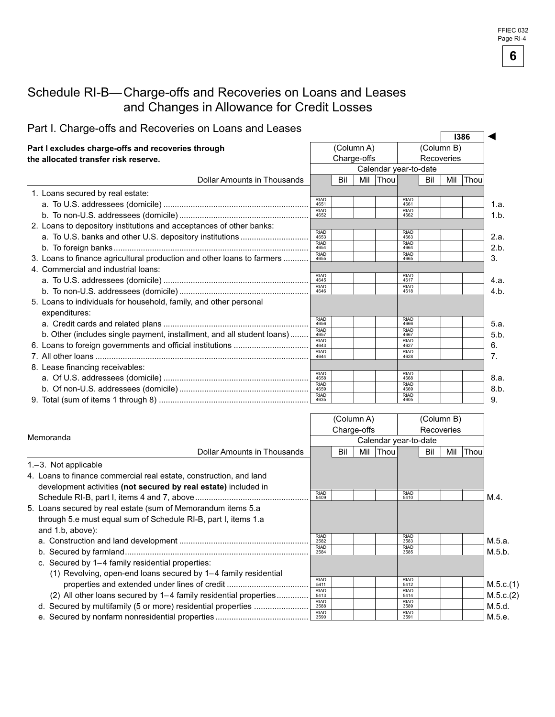#### Schedule RI-B— Charge-offs and Recoveries on Loans and Leases and Changes in Allowance for Credit Losses

| Fait i. Gilaige-Olis and Necoveries Off Loans and Leases               |                           |     |            |                       |                     |            |  | 1386     |
|------------------------------------------------------------------------|---------------------------|-----|------------|-----------------------|---------------------|------------|--|----------|
| Part I excludes charge-offs and recoveries through                     |                           |     | (Column A) |                       |                     | (Column B) |  |          |
| the allocated transfer risk reserve.                                   | Charge-offs<br>Recoveries |     |            |                       |                     |            |  |          |
|                                                                        |                           |     |            | Calendar year-to-date |                     |            |  |          |
| <b>Dollar Amounts in Thousands</b>                                     |                           | Bil |            | Mil Thou              |                     | Bil        |  | Mil Thou |
| 1. Loans secured by real estate:                                       |                           |     |            |                       |                     |            |  |          |
|                                                                        | <b>RIAD</b><br>4651       |     |            |                       | <b>RIAD</b><br>4661 |            |  |          |
|                                                                        | <b>RIAD</b><br>4652       |     |            |                       | <b>RIAD</b><br>4662 |            |  |          |
| 2. Loans to depository institutions and acceptances of other banks:    |                           |     |            |                       |                     |            |  |          |
|                                                                        | <b>RIAD</b><br>4653       |     |            |                       | <b>RIAD</b><br>4663 |            |  |          |
|                                                                        | <b>RIAD</b><br>4654       |     |            |                       | <b>RIAD</b><br>4664 |            |  |          |
| 3. Loans to finance agricultural production and other loans to farmers | <b>RIAD</b><br>4655       |     |            |                       | <b>RIAD</b><br>4665 |            |  |          |
| 4. Commercial and industrial loans:                                    |                           |     |            |                       |                     |            |  |          |
|                                                                        | <b>RIAD</b><br>4645       |     |            |                       | <b>RIAD</b><br>4617 |            |  |          |
|                                                                        | <b>RIAD</b><br>4646       |     |            |                       | <b>RIAD</b><br>4618 |            |  |          |
| 5. Loans to individuals for household, family, and other personal      |                           |     |            |                       |                     |            |  |          |
| expenditures:                                                          |                           |     |            |                       |                     |            |  |          |
|                                                                        | <b>RIAD</b><br>4656       |     |            |                       | <b>RIAD</b><br>4666 |            |  |          |
| b. Other (includes single payment, installment, and all student loans) | <b>RIAD</b><br>4657       |     |            |                       | <b>RIAD</b><br>4667 |            |  |          |
|                                                                        | <b>RIAD</b><br>4643       |     |            |                       | <b>RIAD</b><br>4627 |            |  |          |
|                                                                        | <b>RIAD</b><br>4644       |     |            |                       | <b>RIAD</b><br>4628 |            |  |          |
| 8. Lease financing receivables:                                        |                           |     |            |                       |                     |            |  |          |
|                                                                        | <b>RIAD</b><br>4658       |     |            |                       | <b>RIAD</b><br>4668 |            |  |          |
|                                                                        | <b>RIAD</b><br>4659       |     |            |                       | <b>RIAD</b><br>4669 |            |  |          |
|                                                                        | <b>RIAD</b><br>4635       |     |            |                       | <b>RIAD</b><br>4605 |            |  |          |

|                                                                    |                     |     | (Column A)  |                       |                     |     | (Column B) |      |           |
|--------------------------------------------------------------------|---------------------|-----|-------------|-----------------------|---------------------|-----|------------|------|-----------|
|                                                                    |                     |     | Charge-offs |                       |                     |     | Recoveries |      |           |
| Memoranda                                                          |                     |     |             | Calendar year-to-date |                     |     |            |      |           |
| Dollar Amounts in Thousands                                        |                     | Bil | Mil         | Thou                  |                     | Bil | Mil        | Thou |           |
| $1 - 3$ . Not applicable                                           |                     |     |             |                       |                     |     |            |      |           |
| 4. Loans to finance commercial real estate, construction, and land |                     |     |             |                       |                     |     |            |      |           |
| development activities (not secured by real estate) included in    |                     |     |             |                       |                     |     |            |      |           |
|                                                                    | <b>RIAD</b><br>5409 |     |             |                       | <b>RIAD</b><br>5410 |     |            |      | M.4.      |
| 5. Loans secured by real estate (sum of Memorandum items 5.a.      |                     |     |             |                       |                     |     |            |      |           |
| through 5.e must equal sum of Schedule RI-B, part I, items 1.a     |                     |     |             |                       |                     |     |            |      |           |
| and 1.b, above):                                                   |                     |     |             |                       |                     |     |            |      |           |
|                                                                    | <b>RIAD</b><br>3582 |     |             |                       | <b>RIAD</b><br>3583 |     |            |      | M.5.a.    |
|                                                                    | <b>RIAD</b><br>3584 |     |             |                       | <b>RIAD</b><br>3585 |     |            |      | M.5.b.    |
| c. Secured by 1-4 family residential properties:                   |                     |     |             |                       |                     |     |            |      |           |
| (1) Revolving, open-end loans secured by 1–4 family residential    |                     |     |             |                       |                     |     |            |      |           |
|                                                                    | <b>RIAD</b><br>5411 |     |             |                       | <b>RIAD</b><br>5412 |     |            |      | M.5.c.(1) |
| (2) All other loans secured by 1-4 family residential properties   | <b>RIAD</b><br>5413 |     |             |                       | <b>RIAD</b><br>5414 |     |            |      | M.5.c.(2) |
|                                                                    | <b>RIAD</b><br>3588 |     |             |                       | <b>RIAD</b><br>3589 |     |            |      | M.5.d.    |
|                                                                    | <b>RIAD</b><br>3590 |     |             |                       | <b>RIAD</b><br>3591 |     |            |      | M.5.e.    |

# Part I. Charge-offs and Recoveries on Loans and Leases **I386**

**6**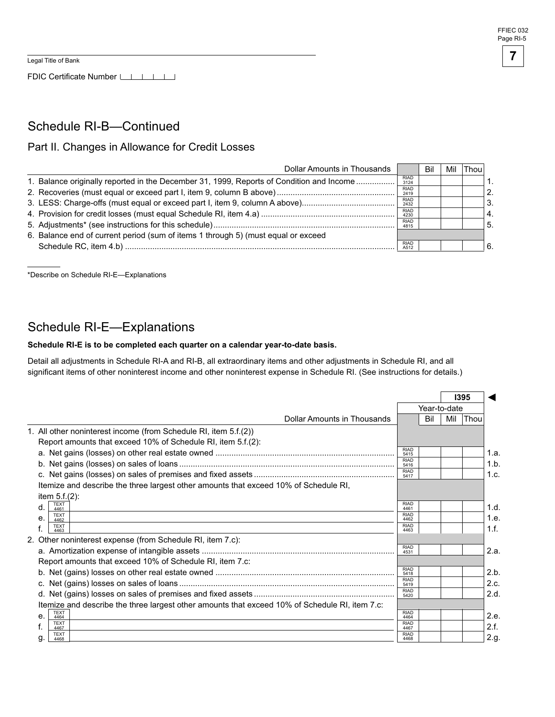FDIC Certificate Number LILILILI

#### Schedule RI-B—Continued

#### Part II. Changes in Allowance for Credit Losses

| <b>Dollar Amounts in Thousands</b>                                                       |                     | Bil | Mil | Thoul |    |
|------------------------------------------------------------------------------------------|---------------------|-----|-----|-------|----|
| 1. Balance originally reported in the December 31, 1999, Reports of Condition and Income | <b>RIAD</b><br>3124 |     |     |       |    |
|                                                                                          | <b>RIAD</b><br>2419 |     |     |       | 2. |
|                                                                                          | <b>RIAD</b><br>2432 |     |     |       | 3. |
|                                                                                          | <b>RIAD</b><br>4230 |     |     |       | 4. |
|                                                                                          | <b>RIAD</b><br>4815 |     |     |       | 5. |
| 6. Balance end of current period (sum of items 1 through 5) (must equal or exceed        |                     |     |     |       |    |
|                                                                                          | <b>RIAD</b><br>A512 |     |     |       | 6  |

\*Describe on Schedule RI-E—Explanations

#### Schedule RI-E—Explanations

#### Schedule RI-E is to be completed each quarter on a calendar year-to-date basis.

Detail all adjustments in Schedule RI-A and RI-B, all extraordinary items and other adjustments in Schedule RI, and all significant items of other noninterest income and other noninterest expense in Schedule RI. (See instructions for details.)

|                                                                                                |                     |              |     | 1395 |      |
|------------------------------------------------------------------------------------------------|---------------------|--------------|-----|------|------|
|                                                                                                |                     | Year-to-date |     |      |      |
| Dollar Amounts in Thousands                                                                    |                     | Bil          | Mil | Thou |      |
| 1. All other noninterest income (from Schedule RI, item 5.f.(2))                               |                     |              |     |      |      |
| Report amounts that exceed 10% of Schedule RI, item 5.f.(2):                                   |                     |              |     |      |      |
|                                                                                                | <b>RIAD</b><br>5415 |              |     |      | 1.a. |
|                                                                                                | <b>RIAD</b><br>5416 |              |     |      | 1.b. |
|                                                                                                | <b>RIAD</b><br>5417 |              |     |      | 1.c. |
| Itemize and describe the three largest other amounts that exceed 10% of Schedule RI,           |                     |              |     |      |      |
| item $5.f.(2)$ :                                                                               |                     |              |     |      |      |
| <b>TEXT</b><br>$d_{\cdot}$<br>4461                                                             | <b>RIAD</b><br>4461 |              |     |      | 1.d. |
| <b>TEXT</b><br>e.<br>4462                                                                      | <b>RIAD</b><br>4462 |              |     |      | 1.e. |
| <b>TEXT</b><br>4463                                                                            | <b>RIAD</b><br>4463 |              |     |      | 1.f. |
| 2. Other noninterest expense (from Schedule RI, item 7.c):                                     |                     |              |     |      |      |
|                                                                                                | <b>RIAD</b><br>4531 |              |     |      | 2.a. |
| Report amounts that exceed 10% of Schedule RI, item 7.c:                                       |                     |              |     |      |      |
|                                                                                                | <b>RIAD</b><br>5418 |              |     |      | 2.b. |
|                                                                                                | <b>RIAD</b><br>5419 |              |     |      | 2.c. |
|                                                                                                | <b>RIAD</b><br>5420 |              |     |      | 2.d. |
| Itemize and describe the three largest other amounts that exceed 10% of Schedule RI, item 7.c: |                     |              |     |      |      |
| <b>TEXT</b><br>е.<br>4464                                                                      | <b>RIAD</b><br>4464 |              |     |      | 2.e. |
| <b>TEXT</b><br>4467                                                                            | <b>RIAD</b><br>4467 |              |     |      | 2.f. |
| <b>TEXT</b><br>g.<br>4468                                                                      | <b>RIAD</b><br>4468 |              |     |      | 2.g. |
|                                                                                                |                     |              |     |      |      |

**7**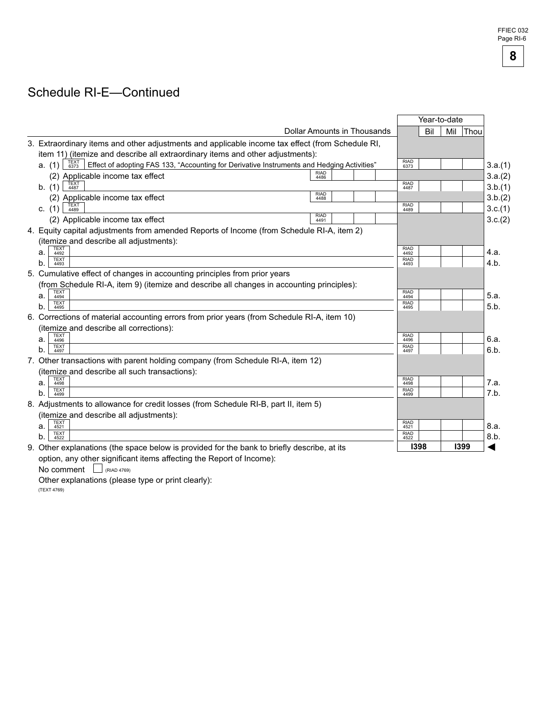# Schedule RI-E—Continued

|                                                                                                                      |                             |  | Year-to-date        |     |     |             |
|----------------------------------------------------------------------------------------------------------------------|-----------------------------|--|---------------------|-----|-----|-------------|
|                                                                                                                      | Dollar Amounts in Thousands |  |                     | Bil | Mil | <b>Thou</b> |
| 3. Extraordinary items and other adjustments and applicable income tax effect (from Schedule RI,                     |                             |  |                     |     |     |             |
| item 11) (itemize and describe all extraordinary items and other adjustments):                                       |                             |  |                     |     |     |             |
| TEXT<br>6373<br>Effect of adopting FAS 133, "Accounting for Derivative Instruments and Hedging Activities"<br>a. (1) |                             |  | <b>RIAD</b><br>6373 |     |     |             |
| (2) Applicable income tax effect                                                                                     | <b>RIAD</b><br>4486         |  |                     |     |     |             |
| TEXT<br>4487<br>b. (1)                                                                                               |                             |  | <b>RIAD</b><br>4487 |     |     |             |
| (2) Applicable income tax effect                                                                                     | <b>RIAD</b><br>4488         |  |                     |     |     |             |
| TEXT<br>4489<br>c. $(1)$                                                                                             |                             |  | <b>RIAD</b><br>4489 |     |     |             |
| (2) Applicable income tax effect                                                                                     | <b>RIAD</b><br>4491         |  |                     |     |     |             |
| 4. Equity capital adjustments from amended Reports of Income (from Schedule RI-A, item 2)                            |                             |  |                     |     |     |             |
| (itemize and describe all adjustments):                                                                              |                             |  |                     |     |     |             |
| <b>TEXT</b><br>a.<br>4492                                                                                            |                             |  | <b>RIAD</b><br>4492 |     |     |             |
| TEXT<br>b.<br>4493                                                                                                   |                             |  | <b>RIAD</b><br>4493 |     |     |             |
| 5. Cumulative effect of changes in accounting principles from prior years                                            |                             |  |                     |     |     |             |
| (from Schedule RI-A, item 9) (itemize and describe all changes in accounting principles):                            |                             |  |                     |     |     |             |
| <b>TEXT</b><br>4494<br>а.                                                                                            |                             |  | <b>RIAD</b><br>4494 |     |     |             |
| <b>TEXT</b><br>b.<br>4495                                                                                            |                             |  | <b>RIAD</b><br>4495 |     |     |             |
| 6. Corrections of material accounting errors from prior years (from Schedule RI-A, item 10)                          |                             |  |                     |     |     |             |
| (itemize and describe all corrections):                                                                              |                             |  |                     |     |     |             |
| <b>TEXT</b><br>a.<br>4496                                                                                            |                             |  | <b>RIAD</b><br>4496 |     |     |             |
| <b>TEXT</b><br>b.<br>4497                                                                                            |                             |  | <b>RIAD</b><br>4497 |     |     |             |
| 7. Other transactions with parent holding company (from Schedule RI-A, item 12)                                      |                             |  |                     |     |     |             |
| (itemize and describe all such transactions):                                                                        |                             |  |                     |     |     |             |
| <b>TFXT</b><br>a.<br>4498                                                                                            |                             |  | <b>RIAD</b><br>4498 |     |     |             |
| <b>TEXT</b><br>b.<br>4499                                                                                            |                             |  | <b>RIAD</b><br>4499 |     |     |             |
| 8. Adjustments to allowance for credit losses (from Schedule RI-B, part II, item 5)                                  |                             |  |                     |     |     |             |
| (itemize and describe all adjustments):                                                                              |                             |  |                     |     |     |             |
| <b>TEXT</b><br>а.<br>4521                                                                                            |                             |  | <b>RIAD</b><br>4521 |     |     |             |
| <b>TEXT</b><br>b.<br>4522                                                                                            |                             |  | <b>RIAD</b><br>4522 |     |     |             |
| 9. Other explanations (the space below is provided for the bank to briefly describe, at its                          |                             |  | 1398                |     |     | 1399        |
| option, any other significant items affecting the Report of Income):                                                 |                             |  |                     |     |     |             |

No comment  $\Box$  (RIAD 4769)

Other explanations (please type or print clearly):

(TEXT 4769)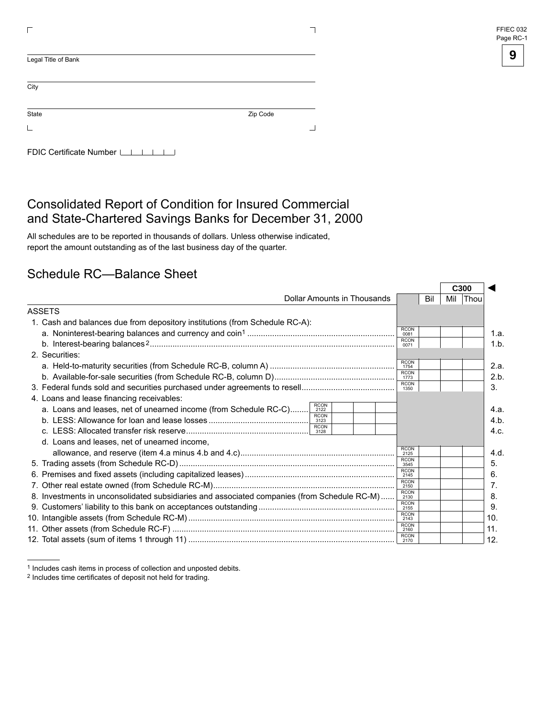| FFIEC 032 |
|-----------|
| Page RC-1 |

| Legal Title of Bank        |          |  |
|----------------------------|----------|--|
| City                       |          |  |
| State                      | Zip Code |  |
|                            |          |  |
| FDIC Certificate Number LI |          |  |

## Consolidated Report of Condition for Insured Commercial and State-Chartered Savings Banks for December 31, 2000

All schedules are to be reported in thousands of dollars. Unless otherwise indicated, report the amount outstanding as of the last business day of the quarter.

#### Schedule RC—Balance Sheet

|                                                                                                        |                     |     | C <sub>300</sub> |      |
|--------------------------------------------------------------------------------------------------------|---------------------|-----|------------------|------|
| Dollar Amounts in Thousands                                                                            |                     | Bil | Mil Thou         |      |
| ASSETS                                                                                                 |                     |     |                  |      |
| 1. Cash and balances due from depository institutions (from Schedule RC-A):                            |                     |     |                  |      |
|                                                                                                        | <b>RCON</b><br>0081 |     |                  | 1.a. |
|                                                                                                        | <b>RCON</b><br>0071 |     |                  | 1.b. |
| 2. Securities:                                                                                         |                     |     |                  |      |
|                                                                                                        | <b>RCON</b><br>1754 |     |                  | 2.a. |
|                                                                                                        | <b>RCON</b><br>1773 |     |                  | 2.b  |
|                                                                                                        | <b>RCON</b><br>1350 |     |                  | 3.   |
| 4. Loans and lease financing receivables:                                                              |                     |     |                  |      |
| <b>RCON</b><br>a. Loans and leases, net of unearned income (from Schedule RC-C)<br>2122<br><b>RCON</b> |                     |     |                  | 4.a. |
| 3123<br><b>RCON</b>                                                                                    |                     |     |                  | 4.b. |
| 3128                                                                                                   |                     |     |                  | 4.c. |
| d. Loans and leases, net of unearned income,                                                           |                     |     |                  |      |
|                                                                                                        | <b>RCON</b><br>2125 |     |                  | 4.d. |
|                                                                                                        | <b>RCON</b><br>3545 |     |                  | 5.   |
|                                                                                                        | <b>RCON</b><br>2145 |     |                  | 6.   |
|                                                                                                        | <b>RCON</b><br>2150 |     |                  | 7.   |
| 8. Investments in unconsolidated subsidiaries and associated companies (from Schedule RC-M)            | <b>RCON</b><br>2130 |     |                  | 8.   |
|                                                                                                        | RCON<br>2155        |     |                  | 9.   |
|                                                                                                        | <b>RCON</b><br>2143 |     |                  | 10.  |
|                                                                                                        | <b>RCON</b><br>2160 |     |                  | 11.  |
|                                                                                                        | <b>RCON</b>         |     |                  | 12.  |

<sup>1</sup> Includes cash items in process of collection and unposted debits.

<sup>2</sup> Includes time certificates of deposit not held for trading.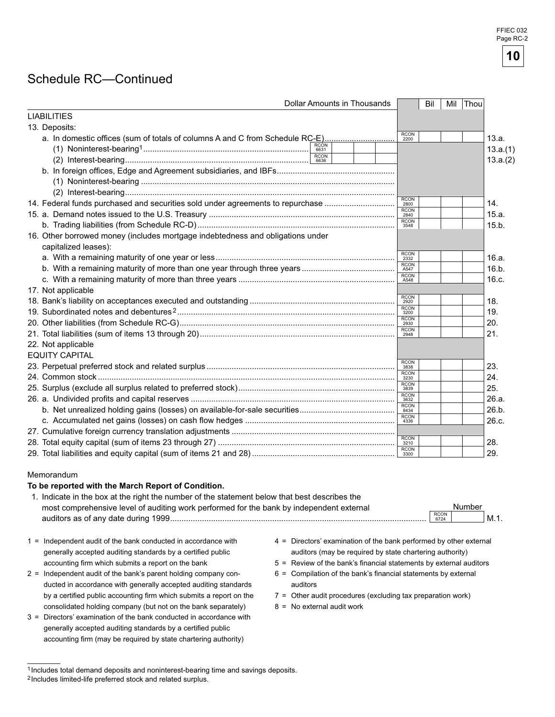#### Schedule RC—Continued

| Dollar Amounts in Thousands                                                                                                                                                                                                                                       |                     | Bil | Mil         | Thou     |
|-------------------------------------------------------------------------------------------------------------------------------------------------------------------------------------------------------------------------------------------------------------------|---------------------|-----|-------------|----------|
| <b>LIABILITIES</b>                                                                                                                                                                                                                                                |                     |     |             |          |
| 13. Deposits:                                                                                                                                                                                                                                                     |                     |     |             |          |
| a. In domestic offices (sum of totals of columns A and C from Schedule RC-E)                                                                                                                                                                                      | RCON<br>2200        |     |             | 13.a.    |
| 6631                                                                                                                                                                                                                                                              |                     |     |             | 13.a.(1) |
| RCON<br>6636                                                                                                                                                                                                                                                      |                     |     |             | 13.a.(2) |
|                                                                                                                                                                                                                                                                   |                     |     |             |          |
|                                                                                                                                                                                                                                                                   |                     |     |             |          |
|                                                                                                                                                                                                                                                                   |                     |     |             |          |
| 14. Federal funds purchased and securities sold under agreements to repurchase                                                                                                                                                                                    | <b>RCON</b><br>2800 |     |             | 14.      |
|                                                                                                                                                                                                                                                                   | RCON<br>2840        |     |             | 15.a.    |
|                                                                                                                                                                                                                                                                   | RCON<br>3548        |     |             | 15.b.    |
| 16. Other borrowed money (includes mortgage indebtedness and obligations under<br>capitalized leases):                                                                                                                                                            |                     |     |             |          |
|                                                                                                                                                                                                                                                                   | <b>RCON</b>         |     |             | 16.a.    |
|                                                                                                                                                                                                                                                                   | <b>RCON</b><br>A547 |     |             | 16.b.    |
|                                                                                                                                                                                                                                                                   | <b>RCON</b><br>A548 |     |             | 16.c.    |
| 17. Not applicable                                                                                                                                                                                                                                                |                     |     |             |          |
|                                                                                                                                                                                                                                                                   | RCON<br>2920        |     |             | 18.      |
|                                                                                                                                                                                                                                                                   | RCON<br>3200        |     |             | 19.      |
|                                                                                                                                                                                                                                                                   | <b>RCON</b><br>2930 |     |             | 20.      |
|                                                                                                                                                                                                                                                                   | RCON<br>2948        |     |             | 21.      |
| 22. Not applicable                                                                                                                                                                                                                                                |                     |     |             |          |
| <b>EQUITY CAPITAL</b>                                                                                                                                                                                                                                             |                     |     |             |          |
|                                                                                                                                                                                                                                                                   | RCON<br>3838        |     |             | 23.      |
|                                                                                                                                                                                                                                                                   | RCON<br>3230        |     |             | 24.      |
|                                                                                                                                                                                                                                                                   | <b>RCON</b><br>3839 |     |             | 25.      |
|                                                                                                                                                                                                                                                                   | <b>RCON</b><br>3632 |     |             | 26.a.    |
|                                                                                                                                                                                                                                                                   | RCON<br>8434        |     |             | 26.b.    |
|                                                                                                                                                                                                                                                                   | RCON<br>4336        |     |             | 26.c.    |
|                                                                                                                                                                                                                                                                   |                     |     |             |          |
|                                                                                                                                                                                                                                                                   | RCON<br>3210        |     |             | 28.      |
|                                                                                                                                                                                                                                                                   | RCON<br>3300        |     |             | 29.      |
|                                                                                                                                                                                                                                                                   |                     |     |             |          |
| Memorandum                                                                                                                                                                                                                                                        |                     |     |             |          |
| To be reported with the March Report of Condition.                                                                                                                                                                                                                |                     |     |             |          |
| 1. Indicate in the box at the right the number of the statement below that best describes the                                                                                                                                                                     |                     |     |             | Number   |
| most comprehensive level of auditing work performed for the bank by independent external                                                                                                                                                                          |                     |     | <b>RCON</b> |          |
|                                                                                                                                                                                                                                                                   |                     |     |             | $M.1$ .  |
| $1 =$ Independent audit of the bank conducted in accordance with<br>4 = Directors' examination of the bank performed by other external<br>generally accepted auditing standards by a certified public<br>auditors (may be required by state chartering authority) |                     |     |             |          |

- 
- ducted in accordance with generally accepted auditing standards auditors by a certified public accounting firm which submits a report on the 7 = Other audit procedures (excluding tax preparation work) consolidated holding company (but not on the bank separately)  $8 = No$  external audit work
- 3 = Directors' examination of the bank conducted in accordance with generally accepted auditing standards by a certified public accounting firm (may be required by state chartering authority)
- 
- accounting firm which submits a report on the bank 5 = Review of the bank's financial statements by external auditors
- 2 = Independent audit of the bank's parent holding company con- 6 = Compilation of the bank's financial statements by external
	-
	-

<sup>1</sup> Includes total demand deposits and noninterest-bearing time and savings deposits.

<sup>2</sup> Includes limited-life preferred stock and related surplus.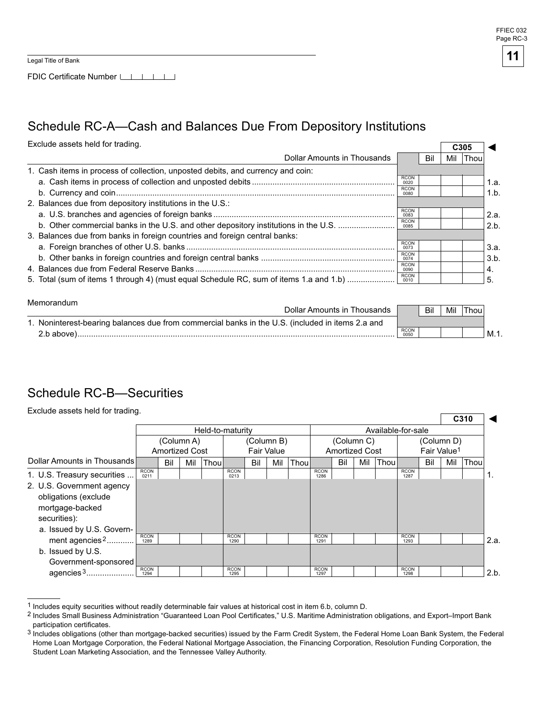$\overline{\phantom{0}}$ 

FDIC Certificate Number LAGO LAGO LAGO

### Schedule RC-A—Cash and Balances Due From Depository Institutions

Exclude assets held for trading.

| Exclude assets held for trading.<br>C <sub>305</sub>                                   |                     |     |     |      |      |  |  |  |
|----------------------------------------------------------------------------------------|---------------------|-----|-----|------|------|--|--|--|
| Dollar Amounts in Thousands                                                            |                     | Bil | Mil | Thou |      |  |  |  |
| 1. Cash items in process of collection, unposted debits, and currency and coin:        |                     |     |     |      |      |  |  |  |
|                                                                                        | <b>RCON</b><br>0020 |     |     |      | 1.a. |  |  |  |
|                                                                                        | <b>RCON</b><br>0080 |     |     |      | 1.b. |  |  |  |
| 2. Balances due from depository institutions in the U.S.:                              |                     |     |     |      |      |  |  |  |
|                                                                                        | <b>RCON</b><br>0083 |     |     |      | 2.a. |  |  |  |
| b. Other commercial banks in the U.S. and other depository institutions in the U.S.    | <b>RCON</b><br>0085 |     |     |      | 2.b. |  |  |  |
| 3. Balances due from banks in foreign countries and foreign central banks:             |                     |     |     |      |      |  |  |  |
|                                                                                        | <b>RCON</b><br>0073 |     |     |      | 3.a. |  |  |  |
|                                                                                        | <b>RCON</b><br>0074 |     |     |      | 3.b. |  |  |  |
|                                                                                        | <b>RCON</b><br>0090 |     |     |      | 4.   |  |  |  |
| 5. Total (sum of items 1 through 4) (must equal Schedule RC, sum of items 1.a and 1.b) | <b>RCON</b><br>0010 |     |     |      | 5.   |  |  |  |

| Memorandum                                                                                       |                     |     |     |       |        |
|--------------------------------------------------------------------------------------------------|---------------------|-----|-----|-------|--------|
| Dollar Amounts in Thousands                                                                      |                     | Bil | Mil | Thou. |        |
| 1. Noninterest-bearing balances due from commercial banks in the U.S. (included in items 2.a and |                     |     |     |       |        |
| 2.b above)                                                                                       | <b>RCON</b><br>0050 |     |     |       | ' M.1. |

## Schedule RC-B—Securities

Exclude assets held for trading.

|                                                                                      |                     |                       |     |                  |                     |     |                   |                                                  |                     |     |            |      |                     |            |     | C <sub>310</sub> |      |  |  |
|--------------------------------------------------------------------------------------|---------------------|-----------------------|-----|------------------|---------------------|-----|-------------------|--------------------------------------------------|---------------------|-----|------------|------|---------------------|------------|-----|------------------|------|--|--|
|                                                                                      |                     |                       |     | Held-to-maturity |                     |     |                   |                                                  | Available-for-sale  |     |            |      |                     |            |     |                  |      |  |  |
|                                                                                      |                     | (Column A)            |     |                  |                     |     | (Column B)        |                                                  |                     |     | (Column C) |      |                     | (Column D) |     |                  |      |  |  |
|                                                                                      |                     | <b>Amortized Cost</b> |     |                  |                     |     | <b>Fair Value</b> | Fair Value <sup>1</sup><br><b>Amortized Cost</b> |                     |     |            |      |                     |            |     |                  |      |  |  |
| Dollar Amounts in Thousands                                                          |                     | Bil                   | Mil | Thoul            |                     | Bil | Mil               | Thoul                                            |                     | Bil | Mil        | Thou |                     | Bil        | Mil | Thou             |      |  |  |
| 1. U.S. Treasury securities                                                          | <b>RCON</b><br>0211 |                       |     |                  | <b>RCON</b><br>0213 |     |                   |                                                  | <b>RCON</b><br>1286 |     |            |      | <b>RCON</b><br>1287 |            |     |                  | ι.   |  |  |
| 2. U.S. Government agency<br>obligations (exclude<br>mortgage-backed<br>securities): |                     |                       |     |                  |                     |     |                   |                                                  |                     |     |            |      |                     |            |     |                  |      |  |  |
| a. Issued by U.S. Govern-                                                            |                     |                       |     |                  |                     |     |                   |                                                  |                     |     |            |      |                     |            |     |                  |      |  |  |
| ment agencies <sup>2</sup>                                                           | <b>RCON</b><br>1289 |                       |     |                  | <b>RCON</b><br>1290 |     |                   |                                                  | <b>RCON</b><br>1291 |     |            |      | <b>RCON</b><br>1293 |            |     |                  | 2.a. |  |  |
| b. Issued by U.S.                                                                    |                     |                       |     |                  |                     |     |                   |                                                  |                     |     |            |      |                     |            |     |                  |      |  |  |
| Government-sponsored                                                                 |                     |                       |     |                  |                     |     |                   |                                                  |                     |     |            |      |                     |            |     |                  |      |  |  |
| agencies 3                                                                           | <b>RCON</b><br>1294 |                       |     |                  | <b>RCON</b><br>1295 |     |                   |                                                  | <b>RCON</b><br>1297 |     |            |      | <b>RCON</b><br>1298 |            |     |                  | 2.b. |  |  |

 $1$  Includes equity securities without readily determinable fair values at historical cost in item 6.b, column D.

Includes Small Business Administration "Guaranteed Loan Pool Certificates," U.S. Maritime Administration obligations, and Export–Import Bank participation certificates.

<sup>3</sup> Includes obligations (other than mortgage-backed securities) issued by the Farm Credit System, the Federal Home Loan Bank System, the Federal Home Loan Mortgage Corporation, the Federal National Mortgage Association, the Financing Corporation, Resolution Funding Corporation, the Student Loan Marketing Association, and the Tennessee Valley Authority.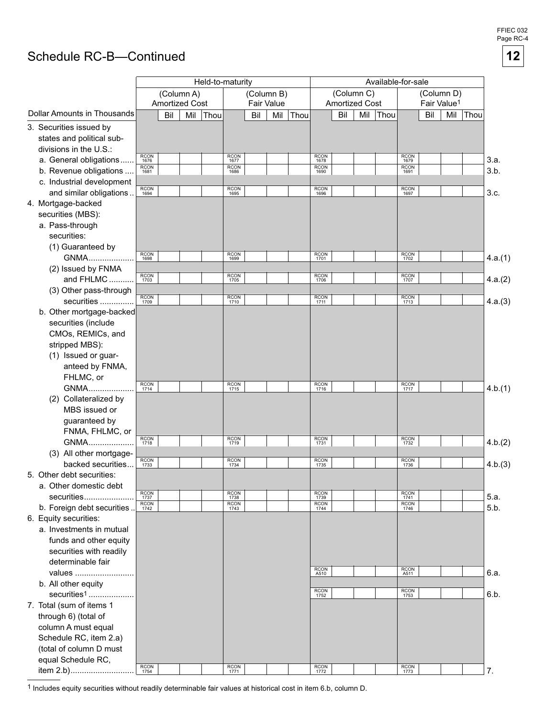FFIEC 03 Page RC-4

**12**

# Schedule RC-B—Continued

|                                    |                     | Held-to-maturity      |     |      |                     |            |     |      |                     |                       | Available-for-sale |      |                     |                         |            |      |         |
|------------------------------------|---------------------|-----------------------|-----|------|---------------------|------------|-----|------|---------------------|-----------------------|--------------------|------|---------------------|-------------------------|------------|------|---------|
|                                    |                     | (Column A)            |     |      |                     | (Column B) |     |      |                     | (Column C)            |                    |      |                     |                         | (Column D) |      |         |
|                                    |                     | <b>Amortized Cost</b> |     |      |                     | Fair Value |     |      |                     | <b>Amortized Cost</b> |                    |      |                     | Fair Value <sup>1</sup> |            |      |         |
| <b>Dollar Amounts in Thousands</b> |                     | Bil                   | Mil | Thou |                     | Bil        | Mil | Thou |                     | Bil                   | Mil                | Thou |                     | Bil                     | Mil        | Thou |         |
| 3. Securities issued by            |                     |                       |     |      |                     |            |     |      |                     |                       |                    |      |                     |                         |            |      |         |
| states and political sub-          |                     |                       |     |      |                     |            |     |      |                     |                       |                    |      |                     |                         |            |      |         |
| divisions in the U.S.:             |                     |                       |     |      |                     |            |     |      |                     |                       |                    |      |                     |                         |            |      |         |
| a. General obligations             | <b>RCON</b><br>1676 |                       |     |      | <b>RCON</b><br>1677 |            |     |      | <b>RCON</b><br>1678 |                       |                    |      | <b>RCON</b><br>1679 |                         |            |      | 3.a.    |
| b. Revenue obligations             | <b>RCON</b><br>1681 |                       |     |      | <b>RCON</b><br>1686 |            |     |      | <b>RCON</b><br>1690 |                       |                    |      | <b>RCON</b><br>1691 |                         |            |      | 3.b.    |
| c. Industrial development          |                     |                       |     |      |                     |            |     |      |                     |                       |                    |      |                     |                         |            |      |         |
| and similar obligations            | <b>RCON</b><br>1694 |                       |     |      | <b>RCON</b><br>1695 |            |     |      | <b>RCON</b><br>1696 |                       |                    |      | <b>RCON</b><br>1697 |                         |            |      | 3.c.    |
| 4. Mortgage-backed                 |                     |                       |     |      |                     |            |     |      |                     |                       |                    |      |                     |                         |            |      |         |
| securities (MBS):                  |                     |                       |     |      |                     |            |     |      |                     |                       |                    |      |                     |                         |            |      |         |
| a. Pass-through                    |                     |                       |     |      |                     |            |     |      |                     |                       |                    |      |                     |                         |            |      |         |
| securities:                        |                     |                       |     |      |                     |            |     |      |                     |                       |                    |      |                     |                         |            |      |         |
| (1) Guaranteed by                  |                     |                       |     |      |                     |            |     |      |                     |                       |                    |      |                     |                         |            |      |         |
| GNMA                               | <b>RCON</b><br>1698 |                       |     |      | <b>RCON</b><br>1699 |            |     |      | <b>RCON</b><br>1701 |                       |                    |      | <b>RCON</b><br>1702 |                         |            |      | 4.a.(1) |
| (2) Issued by FNMA                 |                     |                       |     |      |                     |            |     |      |                     |                       |                    |      |                     |                         |            |      |         |
| and FHLMC                          | RCON<br>1703        |                       |     |      | <b>RCON</b><br>1705 |            |     |      | <b>RCON</b><br>1706 |                       |                    |      | <b>RCON</b><br>1707 |                         |            |      | 4.a.(2) |
| (3) Other pass-through             |                     |                       |     |      |                     |            |     |      |                     |                       |                    |      |                     |                         |            |      |         |
| securities                         | <b>RCON</b><br>1709 |                       |     |      | <b>RCON</b><br>1710 |            |     |      | <b>RCON</b><br>1711 |                       |                    |      | <b>RCON</b><br>1713 |                         |            |      | 4.a.(3) |
| b. Other mortgage-backed           |                     |                       |     |      |                     |            |     |      |                     |                       |                    |      |                     |                         |            |      |         |
| securities (include                |                     |                       |     |      |                     |            |     |      |                     |                       |                    |      |                     |                         |            |      |         |
| CMOs, REMICs, and                  |                     |                       |     |      |                     |            |     |      |                     |                       |                    |      |                     |                         |            |      |         |
| stripped MBS):                     |                     |                       |     |      |                     |            |     |      |                     |                       |                    |      |                     |                         |            |      |         |
| (1) Issued or guar-                |                     |                       |     |      |                     |            |     |      |                     |                       |                    |      |                     |                         |            |      |         |
| anteed by FNMA,                    |                     |                       |     |      |                     |            |     |      |                     |                       |                    |      |                     |                         |            |      |         |
| FHLMC, or                          |                     |                       |     |      |                     |            |     |      |                     |                       |                    |      |                     |                         |            |      |         |
| GNMA                               | <b>RCON</b><br>1714 |                       |     |      | <b>RCON</b><br>1715 |            |     |      | <b>RCON</b><br>1716 |                       |                    |      | <b>RCON</b><br>1717 |                         |            |      | 4.b.(1) |
| (2) Collateralized by              |                     |                       |     |      |                     |            |     |      |                     |                       |                    |      |                     |                         |            |      |         |
| MBS issued or                      |                     |                       |     |      |                     |            |     |      |                     |                       |                    |      |                     |                         |            |      |         |
| guaranteed by                      |                     |                       |     |      |                     |            |     |      |                     |                       |                    |      |                     |                         |            |      |         |
| FNMA, FHLMC, or                    |                     |                       |     |      |                     |            |     |      |                     |                       |                    |      |                     |                         |            |      |         |
| GNMA                               | <b>RCON</b><br>1718 |                       |     |      | <b>RCON</b><br>1719 |            |     |      | <b>RCON</b><br>1731 |                       |                    |      | <b>RCON</b><br>1732 |                         |            |      | 4.b.(2) |
| (3) All other mortgage-            |                     |                       |     |      |                     |            |     |      |                     |                       |                    |      |                     |                         |            |      |         |
| backed securities                  | <b>RCON</b><br>1733 |                       |     |      | <b>RCON</b><br>1734 |            |     |      | <b>RCON</b><br>1735 |                       |                    |      | <b>RCON</b><br>1736 |                         |            |      | 4.b.(3) |
| 5. Other debt securities:          |                     |                       |     |      |                     |            |     |      |                     |                       |                    |      |                     |                         |            |      |         |
| a. Other domestic debt             |                     |                       |     |      |                     |            |     |      |                     |                       |                    |      |                     |                         |            |      |         |
| securities                         | RCON<br>1737        |                       |     |      | <b>RCON</b><br>1738 |            |     |      | RCON<br>1739        |                       |                    |      | <b>RCON</b><br>1741 |                         |            |      | 5.a.    |
| b. Foreign debt securities         | <b>RCON</b><br>1742 |                       |     |      | <b>RCON</b><br>1743 |            |     |      | <b>RCON</b><br>1744 |                       |                    |      | <b>RCON</b><br>1746 |                         |            |      | 5.b.    |
| 6. Equity securities:              |                     |                       |     |      |                     |            |     |      |                     |                       |                    |      |                     |                         |            |      |         |
| a. Investments in mutual           |                     |                       |     |      |                     |            |     |      |                     |                       |                    |      |                     |                         |            |      |         |
| funds and other equity             |                     |                       |     |      |                     |            |     |      |                     |                       |                    |      |                     |                         |            |      |         |
| securities with readily            |                     |                       |     |      |                     |            |     |      |                     |                       |                    |      |                     |                         |            |      |         |
| determinable fair                  |                     |                       |     |      |                     |            |     |      |                     |                       |                    |      |                     |                         |            |      |         |
| values                             |                     |                       |     |      |                     |            |     |      | <b>RCON</b><br>A510 |                       |                    |      | <b>RCON</b><br>A511 |                         |            |      | 6.a.    |
| b. All other equity                |                     |                       |     |      |                     |            |     |      |                     |                       |                    |      |                     |                         |            |      |         |
| securities <sup>1</sup>            |                     |                       |     |      |                     |            |     |      | RCON<br>1752        |                       |                    |      | <b>RCON</b><br>1753 |                         |            |      | 6.b.    |
| 7. Total (sum of items 1           |                     |                       |     |      |                     |            |     |      |                     |                       |                    |      |                     |                         |            |      |         |
| through 6) (total of               |                     |                       |     |      |                     |            |     |      |                     |                       |                    |      |                     |                         |            |      |         |
| column A must equal                |                     |                       |     |      |                     |            |     |      |                     |                       |                    |      |                     |                         |            |      |         |
| Schedule RC, item 2.a)             |                     |                       |     |      |                     |            |     |      |                     |                       |                    |      |                     |                         |            |      |         |
| (total of column D must            |                     |                       |     |      |                     |            |     |      |                     |                       |                    |      |                     |                         |            |      |         |
| equal Schedule RC,                 |                     |                       |     |      |                     |            |     |      |                     |                       |                    |      |                     |                         |            |      |         |
| item 2.b)                          | RCON<br>1754        |                       |     |      | <b>RCON</b>         |            |     |      | RCON<br>1772        |                       |                    |      | <b>RCON</b>         |                         |            |      | 7.      |
|                                    |                     |                       |     |      | 1771                |            |     |      |                     |                       |                    |      | 1773                |                         |            |      |         |

1 Includes equity securities without readily determinable fair values at historical cost in item 6.b, column D.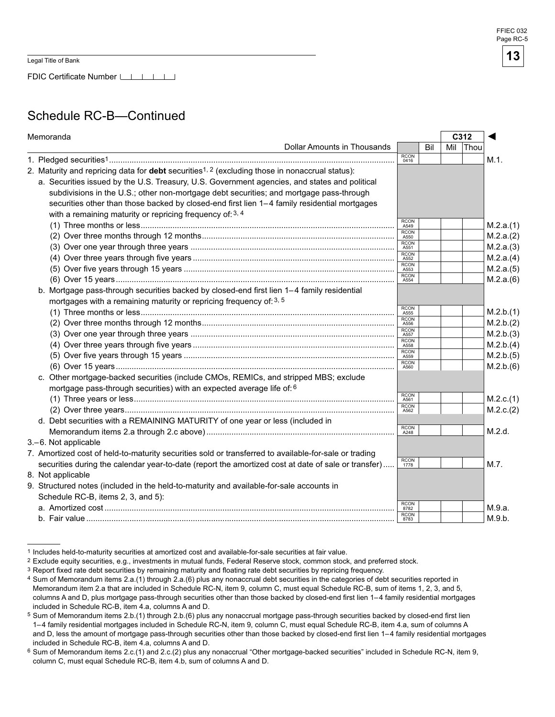FDIC Certificate Number LILLI

# Schedule RC-B—Continued

| Memoranda                                                                                                  |                     |     | C312 |             |           |
|------------------------------------------------------------------------------------------------------------|---------------------|-----|------|-------------|-----------|
| <b>Dollar Amounts in Thousands</b>                                                                         |                     | Bil | Mil  | <b>Thou</b> |           |
|                                                                                                            | <b>RCON</b><br>0416 |     |      |             | M.1.      |
| 2. Maturity and repricing data for debt securities <sup>1, 2</sup> (excluding those in nonaccrual status): |                     |     |      |             |           |
| a. Securities issued by the U.S. Treasury, U.S. Government agencies, and states and political              |                     |     |      |             |           |
| subdivisions in the U.S.; other non-mortgage debt securities; and mortgage pass-through                    |                     |     |      |             |           |
| securities other than those backed by closed-end first lien 1-4 family residential mortgages               |                     |     |      |             |           |
| with a remaining maturity or repricing frequency of: 3, 4                                                  |                     |     |      |             |           |
|                                                                                                            | <b>RCON</b><br>A549 |     |      |             | M.2.a.(1) |
|                                                                                                            | <b>RCON</b><br>A550 |     |      |             | M.2.a.(2) |
|                                                                                                            | <b>RCON</b><br>A551 |     |      |             | M.2.a.(3) |
|                                                                                                            | <b>RCON</b><br>A552 |     |      |             | M.2.a.(4) |
|                                                                                                            | <b>RCON</b><br>A553 |     |      |             | M.2.a.(5) |
|                                                                                                            | <b>RCON</b><br>A554 |     |      |             | M.2.a.(6) |
| b. Mortgage pass-through securities backed by closed-end first lien 1-4 family residential                 |                     |     |      |             |           |
| mortgages with a remaining maturity or repricing frequency of: 3, 5                                        |                     |     |      |             |           |
|                                                                                                            | RCON<br>A555        |     |      |             | M.2.b.(1) |
|                                                                                                            | <b>RCON</b><br>A556 |     |      |             | M.2.b.(2) |
|                                                                                                            | <b>RCON</b><br>A557 |     |      |             | M.2.b.(3) |
|                                                                                                            | <b>RCON</b><br>A558 |     |      |             | M.2.b.(4) |
|                                                                                                            | <b>RCON</b><br>A559 |     |      |             | M.2.b.(5) |
|                                                                                                            | <b>RCON</b><br>A560 |     |      |             | M.2.b.(6) |
| c. Other mortgage-backed securities (include CMOs, REMICs, and stripped MBS; exclude                       |                     |     |      |             |           |
| mortgage pass-through securities) with an expected average life of: 6                                      |                     |     |      |             |           |
|                                                                                                            | RCON<br>A561        |     |      |             | M.2.c.(1) |
|                                                                                                            | <b>RCON</b><br>A562 |     |      |             | M.2.c.(2) |
| d. Debt securities with a REMAINING MATURITY of one year or less (included in                              |                     |     |      |             |           |
|                                                                                                            | <b>RCON</b><br>A248 |     |      |             | M.2.d.    |
| 3.-6. Not applicable                                                                                       |                     |     |      |             |           |
| 7. Amortized cost of held-to-maturity securities sold or transferred to available-for-sale or trading      |                     |     |      |             |           |
| securities during the calendar year-to-date (report the amortized cost at date of sale or transfer)        | <b>RCON</b><br>1778 |     |      |             | M.7.      |
| 8. Not applicable                                                                                          |                     |     |      |             |           |
| 9. Structured notes (included in the held-to-maturity and available-for-sale accounts in                   |                     |     |      |             |           |
| Schedule RC-B, items 2, 3, and 5):                                                                         |                     |     |      |             |           |
|                                                                                                            | <b>RCON</b><br>8782 |     |      |             | M.9.a.    |
|                                                                                                            | <b>RCON</b><br>8783 |     |      |             | M.9.b.    |

<sup>1</sup> Includes held-to-maturity securities at amortized cost and available-for-sale securities at fair value.

Exclude equity securities, e.g., investments in mutual funds, Federal Reserve stock, common stock, and preferred stock.

<sup>&</sup>lt;sup>3</sup> Report fixed rate debt securities by remaining maturity and floating rate debt securities by repricing frequency.

<sup>4</sup> Sum of Memorandum items 2.a.(1) through 2.a.(6) plus any nonaccrual debt securities in the categories of debt securities reported in Memorandum item 2.a that are included in Schedule RC-N, item 9, column C, must equal Schedule RC-B, sum of items 1, 2, 3, and 5, columns A and D, plus mortgage pass-through securities other than those backed by closed-end first lien 1–4 family residential mortgages included in Schedule RC-B, item 4.a, columns A and D.

 $5$  Sum of Memorandum items  $2.b.(1)$  through  $2.b.(6)$  plus any nonaccrual mortgage pass-through securities backed by closed-end first lien 1– 4 family residential mortgages included in Schedule RC-N, item 9, column C, must equal Schedule RC-B, item 4.a, sum of columns A and D, less the amount of mortgage pass-through securities other than those backed by closed-end first lien 1–4 family residential mortgages included in Schedule RC-B, item 4.a, columns A and D.

<sup>6</sup> Sum of Memorandum items 2.c.(1) and 2.c.(2) plus any nonaccrual "Other mortgage-backed securities" included in Schedule RC-N, item 9, column C, must equal Schedule RC-B, item 4.b, sum of columns A and D.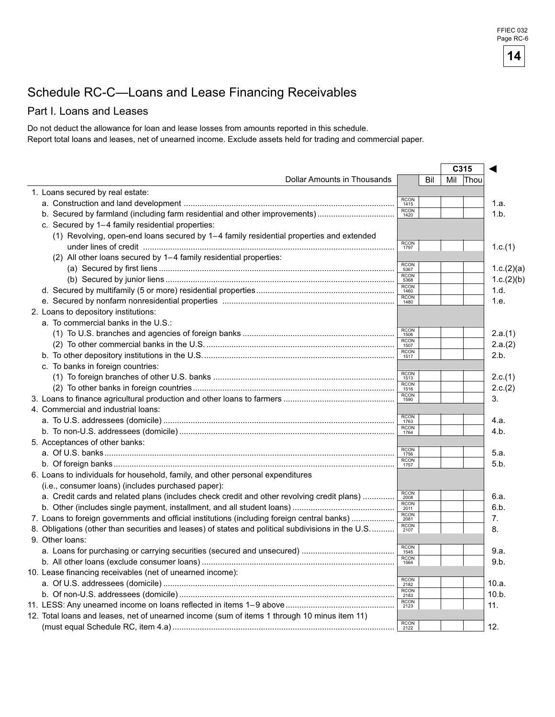# Schedule RC-C—Loans and Lease Financing Receivables

#### Part I. Loans and Leases

Do not deduct the allowance for loan and lease losses from amounts reported in this schedule. Report total loans and leases, net of unearned income. Exclude assets held for trading and commercial paper.

|                                                                                                   |                             |     | C315 |          |            |
|---------------------------------------------------------------------------------------------------|-----------------------------|-----|------|----------|------------|
| Dollar Amounts in Thousands                                                                       |                             | Bil |      | Mil Thou |            |
| 1. Loans secured by real estate:                                                                  |                             |     |      |          |            |
|                                                                                                   | <b>RCON</b><br>1415         |     |      |          | 1.a.       |
| b. Secured by farmland (including farm residential and other improvements)                        | RCON<br>1420                |     |      |          | 1.b.       |
| c. Secured by 1-4 family residential properties:                                                  |                             |     |      |          |            |
| (1) Revolving, open-end loans secured by 1-4 family residential properties and extended           |                             |     |      |          |            |
|                                                                                                   | <b>RCON</b><br>1797         |     |      |          | 1.c.(1)    |
| (2) All other loans secured by 1–4 family residential properties:                                 |                             |     |      |          |            |
|                                                                                                   | <b>RCON</b><br>5367         |     |      |          | 1.c.(2)(a) |
|                                                                                                   | RCON<br>5368                |     |      |          | 1.c.(2)(b) |
|                                                                                                   | <b>RCON</b><br>1460         |     |      |          | 1.d.       |
|                                                                                                   | RCON<br>1480                |     |      |          | 1.e.       |
| 2. Loans to depository institutions:                                                              |                             |     |      |          |            |
| a. To commercial banks in the U.S.:                                                               |                             |     |      |          |            |
|                                                                                                   | <b>RCON</b><br>1506         |     |      |          | 2.a.(1)    |
|                                                                                                   | <b>RCON</b>                 |     |      |          | 2.a.(2)    |
|                                                                                                   | <b>RCON</b>                 |     |      |          | 2.b.       |
| c. To banks in foreign countries:                                                                 |                             |     |      |          |            |
|                                                                                                   | <b>RCON</b>                 |     |      |          | 2.c.(1)    |
|                                                                                                   | 1513<br><b>RCON</b>         |     |      |          | 2.c.(2)    |
|                                                                                                   | 1516<br>RCON<br>1590        |     |      |          | 3.         |
| 4. Commercial and industrial loans:                                                               |                             |     |      |          |            |
|                                                                                                   | RCON<br>1763                |     |      |          |            |
|                                                                                                   | <b>RCON</b>                 |     |      |          | 4.a.       |
|                                                                                                   | 1764                        |     |      |          | 4.b.       |
| 5. Acceptances of other banks:                                                                    | <b>RCON</b>                 |     |      |          |            |
|                                                                                                   | 1756<br>RCON<br>1757        |     |      |          | 5.a.       |
|                                                                                                   |                             |     |      |          | 5.b.       |
| 6. Loans to individuals for household, family, and other personal expenditures                    |                             |     |      |          |            |
| (i.e., consumer loans) (includes purchased paper):                                                |                             |     |      |          |            |
| a. Credit cards and related plans (includes check credit and other revolving credit plans)        | RCON<br>2008<br><b>RCON</b> |     |      |          | 6.a.       |
|                                                                                                   | 2011<br><b>RCON</b>         |     |      |          | 6.b.       |
| 7. Loans to foreign governments and official institutions (including foreign central banks)       | <b>RCON</b>                 |     |      |          | 7.         |
| 8. Obligations (other than securities and leases) of states and political subdivisions in the U.S | 2107                        |     |      |          | 8.         |
| 9. Other loans:                                                                                   |                             |     |      |          |            |
|                                                                                                   | <b>RCON</b><br>1545         |     |      |          | 9.a.       |
|                                                                                                   | RCON<br>1564                |     |      |          | 9.b.       |
| 10. Lease financing receivables (net of unearned income):                                         |                             |     |      |          |            |
|                                                                                                   | RCON<br>2182                |     |      |          | 10.a.      |
|                                                                                                   | <b>RCON</b><br>2183         |     |      |          | 10.b.      |
|                                                                                                   | RCON<br>2123                |     |      |          | 11.        |
| 12. Total loans and leases, net of unearned income (sum of items 1 through 10 minus item 11)      |                             |     |      |          |            |
|                                                                                                   | <b>RCON</b><br>2122         |     |      |          | 12.        |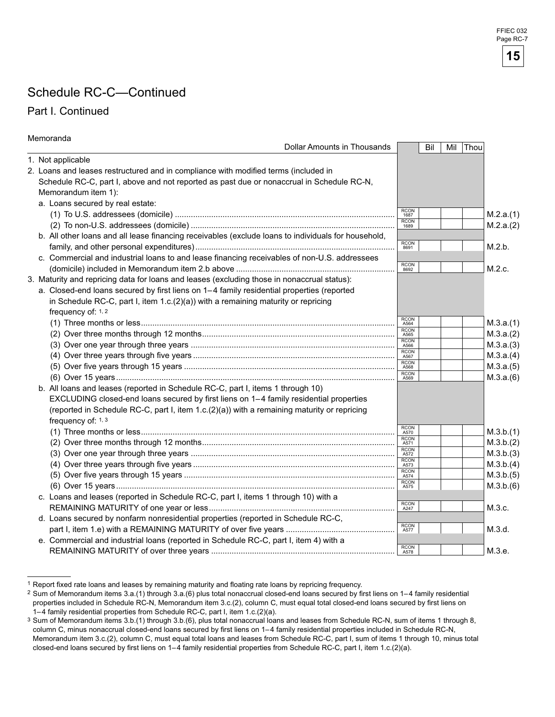# Schedule RC-C—Continued

#### Part I. Continued

| Memoranda                                                                                           |                                    |     |          |           |
|-----------------------------------------------------------------------------------------------------|------------------------------------|-----|----------|-----------|
| Dollar Amounts in Thousands                                                                         |                                    | Bil | Mil Thou |           |
| 1. Not applicable                                                                                   |                                    |     |          |           |
| 2. Loans and leases restructured and in compliance with modified terms (included in                 |                                    |     |          |           |
| Schedule RC-C, part I, above and not reported as past due or nonaccrual in Schedule RC-N,           |                                    |     |          |           |
| Memorandum item 1):                                                                                 |                                    |     |          |           |
| a. Loans secured by real estate:                                                                    |                                    |     |          |           |
|                                                                                                     | <b>RCON</b><br>1687                |     |          | M.2.a.(1) |
|                                                                                                     | <b>RCON</b><br>1689                |     |          | M.2.a.(2) |
| b. All other loans and all lease financing receivables (exclude loans to individuals for household, |                                    |     |          |           |
|                                                                                                     | <b>RCON</b><br>8691                |     |          | M.2.b.    |
| c. Commercial and industrial loans to and lease financing receivables of non-U.S. addressees        |                                    |     |          |           |
|                                                                                                     | <b>RCON</b><br>8692                |     |          | M.2.c.    |
| 3. Maturity and repricing data for loans and leases (excluding those in nonaccrual status):         |                                    |     |          |           |
| a. Closed-end loans secured by first liens on 1-4 family residential properties (reported           |                                    |     |          |           |
| in Schedule RC-C, part I, item $1.c.(2)(a)$ ) with a remaining maturity or repricing                |                                    |     |          |           |
| frequency of: 1, 2                                                                                  |                                    |     |          |           |
|                                                                                                     | <b>RCON</b><br>A564                |     |          | M.3.a.(1) |
|                                                                                                     | <b>RCON</b><br>A565<br><b>RCON</b> |     |          | M.3.a.(2) |
|                                                                                                     | A566                               |     |          | M.3.a.(3) |
|                                                                                                     | <b>RCON</b><br>A567                |     |          | M.3.a.(4) |
|                                                                                                     | RCON<br>A568<br><b>RCON</b>        |     |          | M.3.a.(5) |
|                                                                                                     | A569                               |     |          | M.3.a.(6) |
| b. All loans and leases (reported in Schedule RC-C, part I, items 1 through 10)                     |                                    |     |          |           |
| EXCLUDING closed-end loans secured by first liens on 1-4 family residential properties              |                                    |     |          |           |
| (reported in Schedule RC-C, part I, item 1.c.(2)(a)) with a remaining maturity or repricing         |                                    |     |          |           |
| frequency of: 1, 3                                                                                  |                                    |     |          |           |
|                                                                                                     | RCON<br>A570<br><b>RCON</b>        |     |          | M.3.b.(1) |
|                                                                                                     | A571<br><b>RCON</b>                |     |          | M.3.b.(2) |
|                                                                                                     | A572<br><b>RCON</b>                |     |          | M.3.b.(3) |
|                                                                                                     | A573<br><b>RCON</b>                |     |          | M.3.b.(4) |
|                                                                                                     | A574<br><b>RCON</b>                |     |          | M.3.b.(5) |
|                                                                                                     | A575                               |     |          | M.3.b.(6) |
| c. Loans and leases (reported in Schedule RC-C, part I, items 1 through 10) with a                  | <b>RCON</b>                        |     |          |           |
|                                                                                                     | A247                               |     |          | M.3.c.    |
| d. Loans secured by nonfarm nonresidential properties (reported in Schedule RC-C,                   | <b>RCON</b>                        |     |          |           |
|                                                                                                     | A577                               |     |          | M.3.d.    |
| e. Commercial and industrial loans (reported in Schedule RC-C, part I, item 4) with a               | <b>RCON</b>                        |     |          |           |
|                                                                                                     | A578                               |     |          | M.3.e.    |

 1 Report fixed rate loans and leases by remaining maturity and floating rate loans by repricing frequency.

<sup>2</sup> Sum of Memorandum items 3.a.(1) through 3.a.(6) plus total nonaccrual closed-end loans secured by first liens on 1– family residential properties included in Schedule RC-N, Memorandum item 3.c.(2), column C, must equal total closed-end loans secured by first liens on 1– family residential properties from Schedule RC-C, part I, item 1.c.(2)(a).

<sup>3</sup> Sum of Memorandum items 3.b.(1) through 3.b.(6), plus total nonaccrual loans and leases from Schedule RC-N, sum of items 1 through 8, column C, minus nonaccrual closed-end loans secured by first liens on 1– family residential properties included in Schedule RC-N, Memorandum item 3.c.(2), column C, must equal total loans and leases from Schedule RC-C, part I, sum of items 1 through 10, minus total closed-end loans secured by first liens on 1–4 family residential properties from Schedule RC-C, part I, item 1.c.(2)(a).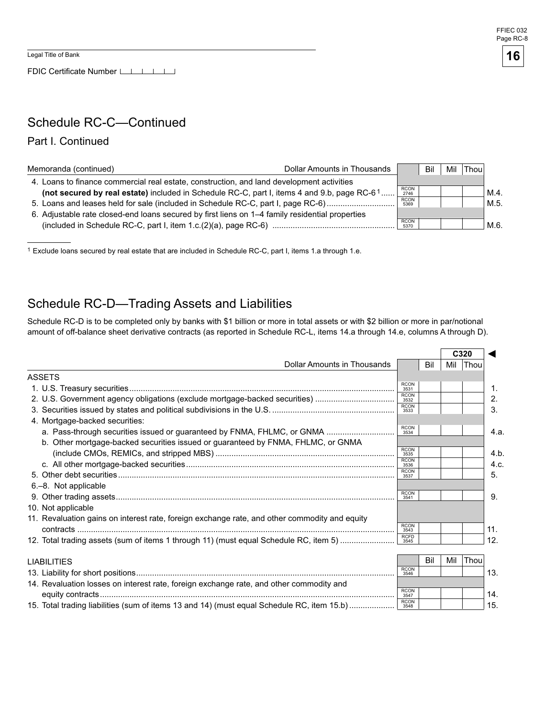

## Schedule RC-C—Continued

#### Part I. Continued

| Memoranda (continued)                                                                           | Dollar Amounts in Thousands |                     | Bil | Mil | Thou |      |
|-------------------------------------------------------------------------------------------------|-----------------------------|---------------------|-----|-----|------|------|
| 4. Loans to finance commercial real estate, construction, and land development activities       |                             |                     |     |     |      |      |
| (not secured by real estate) included in Schedule RC-C, part I, items 4 and 9.b, page RC-61     |                             | <b>RCON</b><br>2746 |     |     |      | M.4. |
| 5. Loans and leases held for sale (included in Schedule RC-C, part I, page RC-6)                |                             | <b>RCON</b><br>5369 |     |     |      | M.5. |
| 6. Adjustable rate closed-end loans secured by first liens on 1–4 family residential properties |                             |                     |     |     |      |      |
|                                                                                                 |                             | <b>RCON</b><br>5370 |     |     |      | M.6  |

1 Exclude loans secured by real estate that are included in Schedule RC-C, part I, items 1.a through 1.e.

#### Schedule RC-D—Trading Assets and Liabilities

Schedule RC-D is to be completed only by banks with \$1 billion or more in total assets or with \$2 billion or more in par/notional amount of off-balance sheet derivative contracts (as reported in Schedule RC-L, items 14.a through 14.e, columns A through D).

|                                                                                               |                     |     |     | C <sub>320</sub> |      |
|-----------------------------------------------------------------------------------------------|---------------------|-----|-----|------------------|------|
| Dollar Amounts in Thousands                                                                   |                     | Bil | Mil | Thou             |      |
| <b>ASSETS</b>                                                                                 |                     |     |     |                  |      |
|                                                                                               | <b>RCON</b><br>3531 |     |     |                  | 1.   |
| 2. U.S. Government agency obligations (exclude mortgage-backed securities)                    | <b>RCON</b><br>3532 |     |     |                  | 2.   |
|                                                                                               | <b>RCON</b><br>3533 |     |     |                  | 3.   |
| 4. Mortgage-backed securities:                                                                |                     |     |     |                  |      |
| a. Pass-through securities issued or guaranteed by FNMA, FHLMC, or GNMA                       | <b>RCON</b><br>3534 |     |     |                  | 4.a. |
| b. Other mortgage-backed securities issued or guaranteed by FNMA, FHLMC, or GNMA              |                     |     |     |                  |      |
|                                                                                               | <b>RCON</b><br>3535 |     |     |                  | 4.b  |
|                                                                                               | <b>RCON</b><br>3536 |     |     |                  | 4.c. |
|                                                                                               | <b>RCON</b><br>3537 |     |     |                  | 5.   |
| 6.-8. Not applicable                                                                          |                     |     |     |                  |      |
|                                                                                               | <b>RCON</b><br>3541 |     |     |                  | 9.   |
| 10. Not applicable                                                                            |                     |     |     |                  |      |
| 11. Revaluation gains on interest rate, foreign exchange rate, and other commodity and equity |                     |     |     |                  |      |
|                                                                                               | <b>RCON</b><br>3543 |     |     |                  | 11.  |
| 12. Total trading assets (sum of items 1 through 11) (must equal Schedule RC, item 5)         | <b>RCFD</b><br>3545 |     |     |                  | 12.  |
|                                                                                               |                     |     |     |                  |      |
| <b>LIABILITIES</b>                                                                            | <b>RCON</b>         | Bil | Mil | Thou             |      |
|                                                                                               | 3546                |     |     |                  | 13.  |
| 14. Revaluation losses on interest rate, foreign exchange rate, and other commodity and       | <b>RCON</b>         |     |     |                  |      |
|                                                                                               | 3547<br><b>RCON</b> |     |     |                  | 14.  |
| 15. Total trading liabilities (sum of items 13 and 14) (must equal Schedule RC, item 15.b)    | 3548                |     |     |                  | 15.  |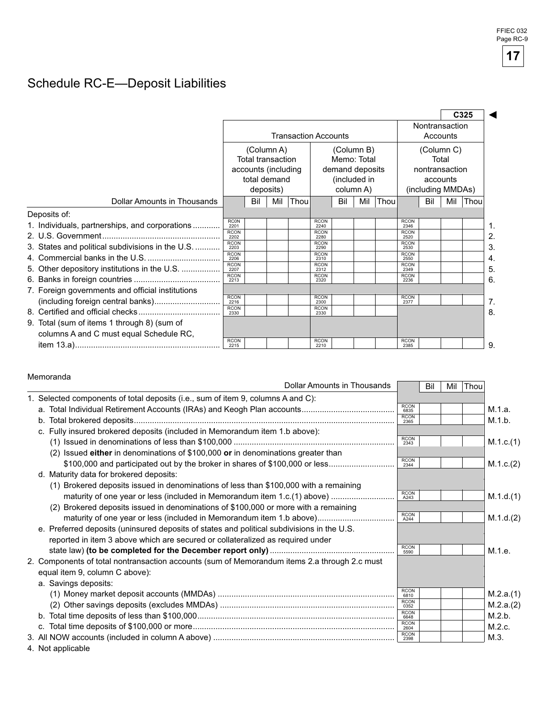# Schedule RC-E—Deposit Liabilities

|                                                  |                     |                                                                                                                                                                  |     |      |                            |                                     |                                 |      |                     |     |     | C325 |
|--------------------------------------------------|---------------------|------------------------------------------------------------------------------------------------------------------------------------------------------------------|-----|------|----------------------------|-------------------------------------|---------------------------------|------|---------------------|-----|-----|------|
|                                                  |                     | <b>Transaction Accounts</b>                                                                                                                                      |     |      | Nontransaction<br>Accounts |                                     |                                 |      |                     |     |     |      |
|                                                  |                     | (Column B)<br>(Column A)<br>Total transaction<br>Memo: Total<br>accounts (including<br>demand deposits<br>total demand<br>(included in<br>column A)<br>deposits) |     |      |                            | nontransaction<br>(including MMDAs) | (Column C)<br>Total<br>accounts |      |                     |     |     |      |
| <b>Dollar Amounts in Thousands</b>               |                     | Bil                                                                                                                                                              | Mil | Thou |                            | Bil                                 | Mil                             | Thou |                     | Bil | Mil | Thou |
| Deposits of:                                     |                     |                                                                                                                                                                  |     |      |                            |                                     |                                 |      |                     |     |     |      |
| 1. Individuals, partnerships, and corporations   | <b>RC0N</b><br>2201 |                                                                                                                                                                  |     |      | <b>RCON</b><br>2240        |                                     |                                 |      | <b>RCON</b><br>2346 |     |     |      |
|                                                  | <b>RCON</b><br>2202 |                                                                                                                                                                  |     |      | <b>RCON</b><br>2280        |                                     |                                 |      | <b>RCON</b><br>2520 |     |     |      |
| 3. States and political subdivisions in the U.S. | <b>RCON</b><br>2203 |                                                                                                                                                                  |     |      | <b>RCON</b><br>2290        |                                     |                                 |      | <b>RCON</b><br>2530 |     |     |      |
|                                                  | <b>RCON</b><br>2206 |                                                                                                                                                                  |     |      | <b>RCON</b><br>2310        |                                     |                                 |      | <b>RCON</b><br>2550 |     |     |      |
| 5. Other depository institutions in the U.S.     | <b>RCON</b><br>2207 |                                                                                                                                                                  |     |      | <b>RCON</b><br>2312        |                                     |                                 |      | <b>RCON</b><br>2349 |     |     |      |
|                                                  | <b>RCON</b><br>2213 |                                                                                                                                                                  |     |      | <b>RCON</b><br>2320        |                                     |                                 |      | <b>RCON</b><br>2236 |     |     |      |
| 7. Foreign governments and official institutions |                     |                                                                                                                                                                  |     |      |                            |                                     |                                 |      |                     |     |     |      |
|                                                  | <b>RCON</b><br>2216 |                                                                                                                                                                  |     |      | <b>RCON</b><br>2300        |                                     |                                 |      | <b>RCON</b><br>2377 |     |     |      |
|                                                  | <b>RCON</b><br>2330 |                                                                                                                                                                  |     |      | <b>RCON</b><br>2330        |                                     |                                 |      |                     |     |     |      |
| 9. Total (sum of items 1 through 8) (sum of      |                     |                                                                                                                                                                  |     |      |                            |                                     |                                 |      |                     |     |     |      |
| columns A and C must equal Schedule RC,          |                     |                                                                                                                                                                  |     |      |                            |                                     |                                 |      |                     |     |     |      |
|                                                  | <b>RCON</b><br>2215 |                                                                                                                                                                  |     |      | <b>RCON</b><br>2210        |                                     |                                 |      | <b>RCON</b><br>2385 |     |     |      |

#### Memoranda

| mulliulainua                                                                                 | Dollar Amounts in Thousands |                     | Bil | Mil | Thou |           |
|----------------------------------------------------------------------------------------------|-----------------------------|---------------------|-----|-----|------|-----------|
| 1. Selected components of total deposits (i.e., sum of item 9, columns A and C):             |                             |                     |     |     |      |           |
|                                                                                              |                             | <b>RCON</b><br>6835 |     |     |      | M.1.a.    |
|                                                                                              |                             | <b>RCON</b><br>2365 |     |     |      | M.1.b.    |
| c. Fully insured brokered deposits (included in Memorandum item 1.b above):                  |                             |                     |     |     |      |           |
|                                                                                              |                             | <b>RCON</b><br>2343 |     |     |      | M.1.c.(1) |
| (2) Issued either in denominations of \$100,000 or in denominations greater than             |                             |                     |     |     |      |           |
|                                                                                              |                             | <b>RCON</b><br>2344 |     |     |      | M.1.c.(2) |
| d. Maturity data for brokered deposits:                                                      |                             |                     |     |     |      |           |
| (1) Brokered deposits issued in denominations of less than \$100,000 with a remaining        |                             |                     |     |     |      |           |
| maturity of one year or less (included in Memorandum item 1.c.(1) above)                     |                             | RCON<br>A243        |     |     |      | M.1.d.(1) |
| (2) Brokered deposits issued in denominations of \$100,000 or more with a remaining          |                             |                     |     |     |      |           |
|                                                                                              |                             | <b>RCON</b><br>A244 |     |     |      | M.1.d.(2) |
| e. Preferred deposits (uninsured deposits of states and political subdivisions in the U.S.   |                             |                     |     |     |      |           |
| reported in item 3 above which are secured or collateralized as required under               |                             |                     |     |     |      |           |
|                                                                                              |                             | <b>RCON</b><br>5590 |     |     |      | M.1.e.    |
| 2. Components of total nontransaction accounts (sum of Memorandum items 2.a through 2.c must |                             |                     |     |     |      |           |
| equal item 9, column C above):                                                               |                             |                     |     |     |      |           |
| a. Savings deposits:                                                                         |                             |                     |     |     |      |           |
|                                                                                              |                             | <b>RCON</b><br>6810 |     |     |      | M.2.a.(1) |
|                                                                                              |                             | <b>RCON</b><br>0352 |     |     |      | M.2.a.(2) |
|                                                                                              |                             | <b>RCON</b><br>6648 |     |     |      | M.2.b.    |
|                                                                                              |                             | <b>RCON</b><br>2604 |     |     |      | M.2.c.    |
|                                                                                              |                             | <b>RCON</b><br>2398 |     |     |      | M.3.      |
| 4. Not applicable                                                                            |                             |                     |     |     |      |           |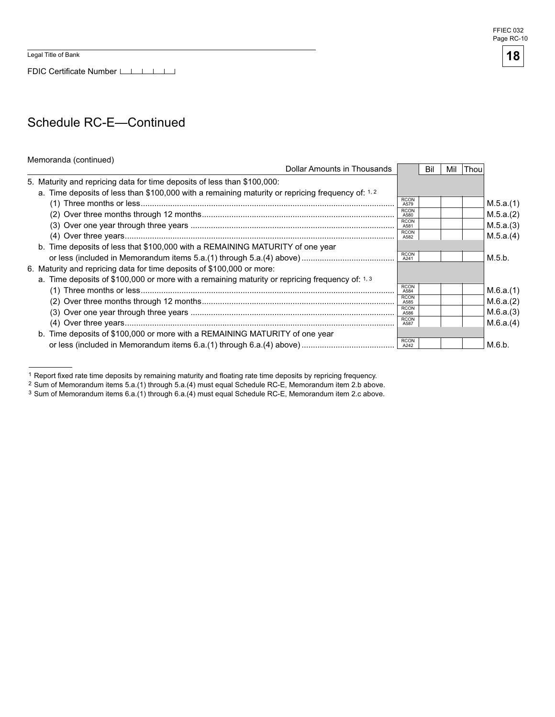FDIC Certificate Number

## Schedule RC-E—Continued

#### Memoranda (continued)

| Dollar Amounts in Thousands                                                                       |                     | Bil | Mil | lThou |           |
|---------------------------------------------------------------------------------------------------|---------------------|-----|-----|-------|-----------|
| 5. Maturity and repricing data for time deposits of less than \$100,000:                          |                     |     |     |       |           |
| a. Time deposits of less than \$100,000 with a remaining maturity or repricing frequency of: 1, 2 |                     |     |     |       |           |
|                                                                                                   | <b>RCON</b><br>A579 |     |     |       | M.5.a.(1) |
|                                                                                                   | <b>RCON</b><br>A580 |     |     |       | M.5.a.(2) |
|                                                                                                   | <b>RCON</b><br>A581 |     |     |       | M.5.a.(3) |
|                                                                                                   | <b>RCON</b><br>A582 |     |     |       | M.5.a.(4) |
| b. Time deposits of less that \$100,000 with a REMAINING MATURITY of one year                     |                     |     |     |       |           |
|                                                                                                   | <b>RCON</b><br>A241 |     |     |       | M.5.b.    |
| 6. Maturity and repricing data for time deposits of \$100,000 or more:                            |                     |     |     |       |           |
| a. Time deposits of \$100,000 or more with a remaining maturity or repricing frequency of: 1, 3   |                     |     |     |       |           |
|                                                                                                   | <b>RCON</b><br>A584 |     |     |       | M.6.a.(1) |
|                                                                                                   | <b>RCON</b><br>A585 |     |     |       | M.6.a.(2) |
|                                                                                                   | <b>RCON</b><br>A586 |     |     |       | M.6.a.(3) |
|                                                                                                   | <b>RCON</b><br>A587 |     |     |       | M.6.a.(4) |
| b. Time deposits of \$100,000 or more with a REMAINING MATURITY of one year                       |                     |     |     |       |           |
|                                                                                                   | <b>RCON</b><br>A242 |     |     |       | M.6.b.    |

 1 Report fixed rate time deposits by remaining maturity and floating rate time deposits by repricing frequency.



<sup>2</sup> Sum of Memorandum items 5.a.(1) through 5.a.(4) must equal Schedule RC-E, Memorandum item 2.b above.

<sup>3</sup> Sum of Memorandum items 6.a.(1) through 6.a.(4) must equal Schedule RC-E, Memorandum item 2.c above.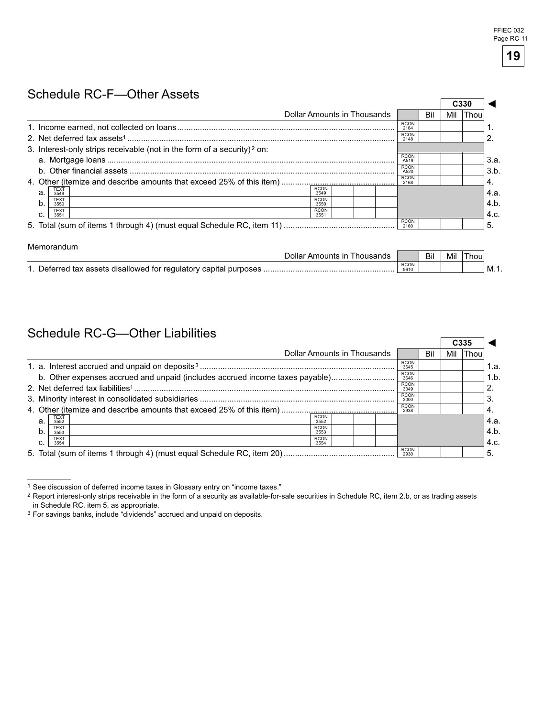$\sim$ 

### Schedule RC-F—Other Assets

|                                                                                     |                     |     | C330 |      |      |
|-------------------------------------------------------------------------------------|---------------------|-----|------|------|------|
| Dollar Amounts in Thousands                                                         |                     | Bil | Mil  | Thou |      |
|                                                                                     | <b>RCON</b><br>2164 |     |      |      |      |
|                                                                                     | <b>RCON</b><br>2148 |     |      |      |      |
| 3. Interest-only strips receivable (not in the form of a security) <sup>2</sup> on: |                     |     |      |      |      |
|                                                                                     | <b>RCON</b><br>A519 |     |      |      | 3.a. |
|                                                                                     | <b>RCON</b><br>A520 |     |      |      | 3.b. |
|                                                                                     | <b>RCON</b><br>2168 |     |      |      | 4.   |
| <b>RCON</b><br>TEXT<br>3549<br>a.<br>3549                                           |                     |     |      |      | 4.a. |
| <b>TEXT</b><br><b>RCON</b><br>b.<br>3550<br>3550                                    |                     |     |      |      | 4.b. |
| <b>TEXT</b><br><b>RCON</b><br>c.<br>3551<br>3551                                    |                     |     |      |      | 4.c. |
|                                                                                     | <b>RCON</b><br>2160 |     |      |      | 5    |

#### Memorandum

| )olla<br>∩⊔nts                                                       |                     | Bil | Mil | hou |      |
|----------------------------------------------------------------------|---------------------|-----|-----|-----|------|
| Deferred tax assets disallowed for regulatory capital purposes<br>-1 | <b>RCON</b><br>5610 |     |     |     | ' M. |

## Schedule RC-G—Other Liabilities

|    | <u> JUICUUL INC-O-UITEI LIADIIIUSS</u>                                       |                     |     |     | C <sub>335</sub> |      |
|----|------------------------------------------------------------------------------|---------------------|-----|-----|------------------|------|
|    | Dollar Amounts in Thousands                                                  |                     | Bil | Mil | Thou             |      |
|    |                                                                              | <b>RCON</b><br>3645 |     |     |                  | 1.a. |
|    | b. Other expenses accrued and unpaid (includes accrued income taxes payable) | <b>RCON</b><br>3646 |     |     |                  | 1.b. |
|    |                                                                              | <b>RCON</b><br>3049 |     |     |                  |      |
|    |                                                                              | <b>RCON</b><br>3000 |     |     |                  | 3    |
|    |                                                                              | <b>RCON</b><br>2938 |     |     |                  | ΄4.  |
| a. | <b>RCON</b><br><b>TEXT</b><br>3552<br>3552                                   |                     |     |     |                  | 4.a. |
| b. | <b>RCON</b><br><b>TEXT</b><br>3553<br>3553                                   |                     |     |     |                  | 4.b. |
| c. | <b>RCON</b><br><b>TEXT</b><br>3554<br>3554                                   |                     |     |     |                  | 4.c. |
|    |                                                                              | <b>RCON</b><br>2930 |     |     |                  | 5.   |

<sup>1</sup> See discussion of deferred income taxes in Glossary entry on "income taxes."

<sup>2</sup> Report interest-only strips receivable in the form of a security as available-for-sale securities in Schedule RC, item 2.b, or as trading assets in Schedule RC, item 5, as appropriate.

<sup>3</sup> For savings banks, include "dividends" accrued and unpaid on deposits.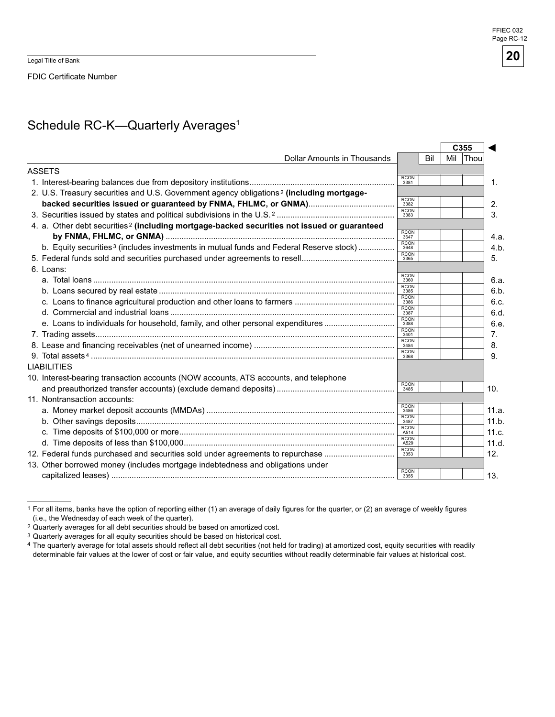Legal Title of Bank

FDIC Certificate Number

# Schedule RC-K-Quarterly Averages<sup>1</sup>

|                                                                                                         |                     |     |     | C <sub>355</sub> |
|---------------------------------------------------------------------------------------------------------|---------------------|-----|-----|------------------|
| Dollar Amounts in Thousands                                                                             |                     | Bil | Mil | <b>Thou</b>      |
| <b>ASSETS</b>                                                                                           |                     |     |     |                  |
|                                                                                                         | <b>RCON</b><br>3381 |     |     |                  |
| 2. U.S. Treasury securities and U.S. Government agency obligations <sup>2</sup> (including mortgage-    |                     |     |     |                  |
|                                                                                                         | <b>RCON</b><br>3382 |     |     |                  |
|                                                                                                         | <b>RCON</b><br>3383 |     |     |                  |
| 4. a. Other debt securities <sup>2</sup> (including mortgage-backed securities not issued or guaranteed |                     |     |     |                  |
|                                                                                                         | <b>RCON</b><br>3647 |     |     |                  |
| b. Equity securities <sup>3</sup> (includes investments in mutual funds and Federal Reserve stock)      | <b>RCON</b><br>3648 |     |     |                  |
|                                                                                                         | <b>RCON</b><br>3365 |     |     |                  |
| 6. Loans:                                                                                               |                     |     |     |                  |
|                                                                                                         | <b>RCON</b><br>3360 |     |     |                  |
|                                                                                                         | <b>RCON</b><br>3385 |     |     |                  |
|                                                                                                         | <b>RCON</b><br>3386 |     |     |                  |
|                                                                                                         | <b>RCON</b><br>3387 |     |     |                  |
| e. Loans to individuals for household, family, and other personal expenditures                          | <b>RCON</b><br>3388 |     |     |                  |
|                                                                                                         | <b>RCON</b><br>3401 |     |     |                  |
|                                                                                                         | <b>RCON</b><br>3484 |     |     |                  |
|                                                                                                         | <b>RCON</b><br>3368 |     |     |                  |
| <b>LIABILITIES</b>                                                                                      |                     |     |     |                  |
| 10. Interest-bearing transaction accounts (NOW accounts, ATS accounts, and telephone                    |                     |     |     |                  |
|                                                                                                         | <b>RCON</b><br>3485 |     |     |                  |
| 11. Nontransaction accounts:                                                                            |                     |     |     |                  |
|                                                                                                         | <b>RCON</b><br>3486 |     |     |                  |
|                                                                                                         | <b>RCON</b><br>3487 |     |     |                  |
|                                                                                                         | <b>RCON</b><br>A514 |     |     |                  |
|                                                                                                         | <b>RCON</b><br>A529 |     |     |                  |
| 12. Federal funds purchased and securities sold under agreements to repurchase                          | <b>RCON</b><br>3353 |     |     |                  |
| 13. Other borrowed money (includes mortgage indebtedness and obligations under                          |                     |     |     |                  |
|                                                                                                         | <b>RCON</b><br>3355 |     |     |                  |
|                                                                                                         |                     |     |     |                  |

<sup>1</sup> For all items, banks have the option of reporting either (1) an average of daily figures for the quarter, or (2) an average of weekly figures (i.e., the Wednesday of each week of the quarter).

<sup>&</sup>lt;sup>2</sup> Quarterly averages for all debt securities should be based on amortized cost.

<sup>3</sup> Quarterly averages for all equity securities should be based on historical cost.

<sup>4</sup> The quarterly average for total assets should reflect all debt securities (not held for trading) at amortized cost, equity securities with readily determinable fair values at the lower of cost or fair value, and equity securities without readily determinable fair values at historical cost.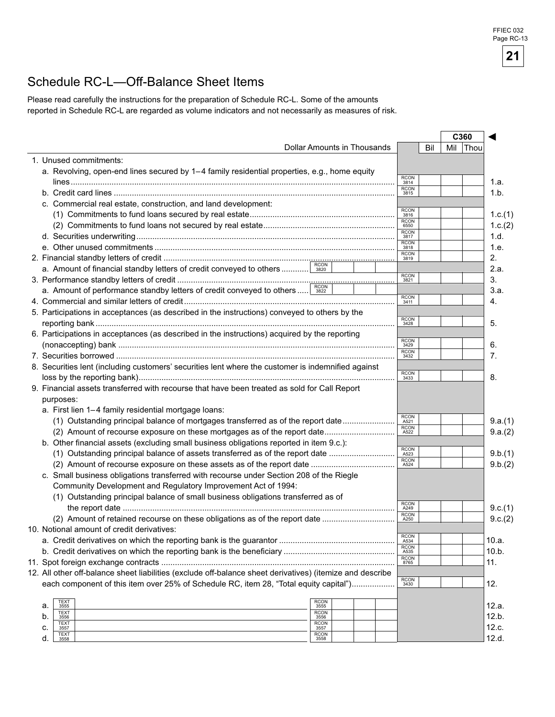### Schedule RC-L—Off-Balance Sheet Items

Please read carefully the instructions for the preparation of Schedule RC-L. Some of the amounts reported in Schedule RC-L are regarded as volume indicators and not necessarily as measures of risk.

|                                                                                                           |                     | C360         |         |
|-----------------------------------------------------------------------------------------------------------|---------------------|--------------|---------|
| Dollar Amounts in Thousands                                                                               | Bil                 | Mil<br> Thou |         |
| 1. Unused commitments:                                                                                    |                     |              |         |
| a. Revolving, open-end lines secured by 1–4 family residential properties, e.g., home equity              |                     |              |         |
|                                                                                                           | <b>RCON</b><br>3814 |              | 1.a.    |
|                                                                                                           | <b>RCON</b><br>3815 |              | 1.b.    |
| c. Commercial real estate, construction, and land development:                                            |                     |              |         |
|                                                                                                           | <b>RCON</b><br>3816 |              | 1.c.(1) |
|                                                                                                           | RCON<br>6550        |              | 1.c.(2) |
|                                                                                                           | <b>RCON</b><br>3817 |              | 1.d.    |
|                                                                                                           | <b>RCON</b><br>3818 |              | 1.e.    |
|                                                                                                           | <b>RCON</b><br>3819 |              | 2.      |
| <b>RCON</b><br>a. Amount of financial standby letters of credit conveyed to others                        |                     |              | 2.a.    |
|                                                                                                           | RCON<br>3821        |              | 3.      |
| a. Amount of performance standby letters of credit conveyed to others sazz                                |                     |              | 3.a.    |
|                                                                                                           | <b>RCON</b><br>3411 |              | 4.      |
| 5. Participations in acceptances (as described in the instructions) conveyed to others by the             |                     |              |         |
|                                                                                                           | <b>RCON</b><br>3428 |              | 5.      |
| 6. Participations in acceptances (as described in the instructions) acquired by the reporting             |                     |              |         |
|                                                                                                           | <b>RCON</b><br>3429 |              | 6.      |
|                                                                                                           | <b>RCON</b><br>3432 |              | 7.      |
| 8. Securities lent (including customers' securities lent where the customer is indemnified against        |                     |              |         |
|                                                                                                           | $\frac{RCON}{3433}$ |              | 8.      |
|                                                                                                           |                     |              |         |
| 9. Financial assets transferred with recourse that have been treated as sold for Call Report              |                     |              |         |
| purposes:                                                                                                 |                     |              |         |
| a. First lien 1-4 family residential mortgage loans:                                                      | <b>RCON</b>         |              |         |
| (1) Outstanding principal balance of mortgages transferred as of the report date                          | A521<br><b>RCON</b> |              | 9.a.(1) |
| (2) Amount of recourse exposure on these mortgages as of the report date                                  | A522                |              | 9.a.(2) |
| b. Other financial assets (excluding small business obligations reported in item 9.c.):                   | <b>RCON</b>         |              |         |
| (1) Outstanding principal balance of assets transferred as of the report date                             | A523<br><b>RCON</b> |              | 9.b.(1) |
|                                                                                                           | A524                |              | 9.b.(2) |
| c. Small business obligations transferred with recourse under Section 208 of the Riegle                   |                     |              |         |
| Community Development and Regulatory Improvement Act of 1994:                                             |                     |              |         |
| (1) Outstanding principal balance of small business obligations transferred as of                         | <b>RCON</b>         |              |         |
|                                                                                                           | A249<br><b>RCON</b> |              | 9.c.(1) |
| (2) Amount of retained recourse on these obligations as of the report date                                | A250                |              | 9.c.(2) |
| 10. Notional amount of credit derivatives:                                                                |                     |              |         |
|                                                                                                           | <b>RCON</b><br>A534 |              | 10.a.   |
|                                                                                                           | <b>RCON</b><br>A535 |              | 10.b.   |
|                                                                                                           | <b>RCON</b><br>8765 |              | 11.     |
| 12. All other off-balance sheet liabilities (exclude off-balance sheet derivatives) (itemize and describe |                     |              |         |
| each component of this item over 25% of Schedule RC, item 28, "Total equity capital")                     | $\frac{RCON}{3430}$ |              | 12.     |
|                                                                                                           |                     |              |         |
| <b>RCON</b><br>TEXT<br>a.<br>3555<br>3555                                                                 |                     |              | 12.a.   |
| <b>RCON</b><br><b>TEXT</b><br>b.<br>3556<br>3556                                                          |                     |              | 12.b.   |
| <b>RCON</b><br><b>TEXT</b>                                                                                |                     |              | 12.c.   |
| c.<br>3557<br>3557                                                                                        |                     |              |         |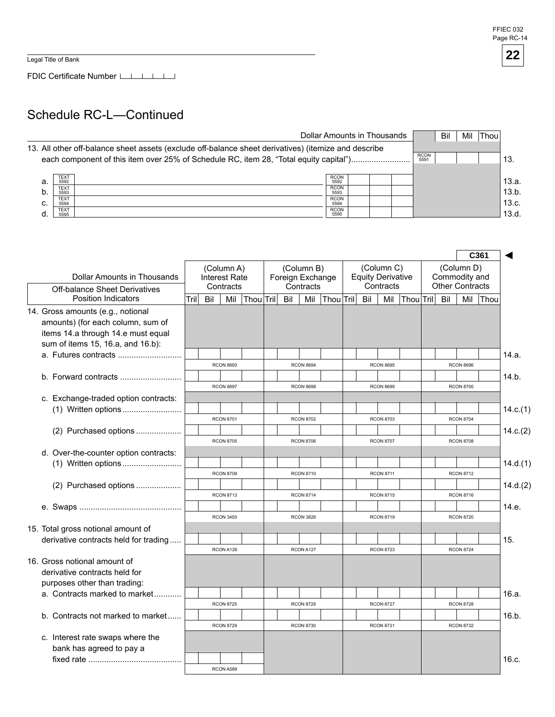Legal Title of Bank

FDIC Certificate Number

## Schedule RC-L—Continued

|    |                                    | Dollar Amounts in Thousands                                                                                                                                                                   |                                    |  |                     | Bil | Mil | <b>Thou</b> |                |
|----|------------------------------------|-----------------------------------------------------------------------------------------------------------------------------------------------------------------------------------------------|------------------------------------|--|---------------------|-----|-----|-------------|----------------|
|    |                                    | 13. All other off-balance sheet assets (exclude off-balance sheet derivatives) (itemize and describe<br>each component of this item over 25% of Schedule RC, item 28, "Total equity capital") |                                    |  | <b>RCON</b><br>5591 |     |     |             | 13.            |
| a. | <b>TEXT</b><br>5592                |                                                                                                                                                                                               | <b>RCON</b><br>5592                |  |                     |     |     |             | 13.a.          |
| b. | <b>TEXT</b><br>5593<br><b>TEXT</b> |                                                                                                                                                                                               | <b>RCON</b><br>5593<br><b>RCON</b> |  |                     |     |     |             | 13.b.          |
| c. | 5594<br><b>TEXT</b>                |                                                                                                                                                                                               | 5594<br><b>RCON</b>                |  |                     |     |     |             | 13.c.<br>13.d. |
|    | 5595                               |                                                                                                                                                                                               | 5595                               |  |                     |     |     |             |                |

| (Column C)<br>(Column D)<br>(Column A)<br>(Column B)<br><b>Dollar Amounts in Thousands</b><br><b>Equity Derivative</b><br>Commodity and<br>Interest Rate<br>Foreign Exchange<br><b>Other Contracts</b><br>Contracts<br>Contracts<br>Contracts<br><b>Off-balance Sheet Derivatives</b><br><b>Position Indicators</b><br>Mil<br>Tril<br>Bil<br>Thou Tril<br>Bil<br>Mil<br>$ $ Thou $ $ Tril $ $<br>Bil<br>Mil<br>Thou Tril<br>Bil<br>Mil<br>Thou |          |  |  |  |  |  |  |                                   |
|------------------------------------------------------------------------------------------------------------------------------------------------------------------------------------------------------------------------------------------------------------------------------------------------------------------------------------------------------------------------------------------------------------------------------------------------|----------|--|--|--|--|--|--|-----------------------------------|
|                                                                                                                                                                                                                                                                                                                                                                                                                                                |          |  |  |  |  |  |  |                                   |
|                                                                                                                                                                                                                                                                                                                                                                                                                                                |          |  |  |  |  |  |  |                                   |
|                                                                                                                                                                                                                                                                                                                                                                                                                                                |          |  |  |  |  |  |  | 14. Gross amounts (e.g., notional |
| amounts) (for each column, sum of                                                                                                                                                                                                                                                                                                                                                                                                              |          |  |  |  |  |  |  |                                   |
| items 14.a through 14.e must equal                                                                                                                                                                                                                                                                                                                                                                                                             |          |  |  |  |  |  |  |                                   |
| sum of items 15, 16.a, and 16.b):                                                                                                                                                                                                                                                                                                                                                                                                              |          |  |  |  |  |  |  |                                   |
|                                                                                                                                                                                                                                                                                                                                                                                                                                                | 14.a.    |  |  |  |  |  |  |                                   |
| <b>RCON 8693</b><br><b>RCON 8694</b><br><b>RCON 8695</b><br><b>RCON 8696</b>                                                                                                                                                                                                                                                                                                                                                                   |          |  |  |  |  |  |  |                                   |
| b. Forward contracts                                                                                                                                                                                                                                                                                                                                                                                                                           | 14.b.    |  |  |  |  |  |  |                                   |
| <b>RCON 8697</b><br><b>RCON 8698</b><br><b>RCON 8699</b><br><b>RCON 8700</b>                                                                                                                                                                                                                                                                                                                                                                   |          |  |  |  |  |  |  |                                   |
| c. Exchange-traded option contracts:                                                                                                                                                                                                                                                                                                                                                                                                           |          |  |  |  |  |  |  |                                   |
| <b>RCON 8701</b><br><b>RCON 8702</b><br><b>RCON 8703</b><br><b>RCON 8704</b>                                                                                                                                                                                                                                                                                                                                                                   | 14.c.(1) |  |  |  |  |  |  |                                   |
|                                                                                                                                                                                                                                                                                                                                                                                                                                                | 14.c.(2) |  |  |  |  |  |  |                                   |
| (2) Purchased options<br><b>RCON 8705</b><br><b>RCON 8706</b><br><b>RCON 8707</b><br><b>RCON 8708</b>                                                                                                                                                                                                                                                                                                                                          |          |  |  |  |  |  |  |                                   |
| d. Over-the-counter option contracts:                                                                                                                                                                                                                                                                                                                                                                                                          |          |  |  |  |  |  |  |                                   |
|                                                                                                                                                                                                                                                                                                                                                                                                                                                | 14.d.(1) |  |  |  |  |  |  |                                   |
| <b>RCON 8709</b><br><b>RCON 8710</b><br><b>RCON 8711</b><br><b>RCON 8712</b>                                                                                                                                                                                                                                                                                                                                                                   |          |  |  |  |  |  |  |                                   |
| (2) Purchased options                                                                                                                                                                                                                                                                                                                                                                                                                          | 14.d.(2) |  |  |  |  |  |  |                                   |
| <b>RCON 8713</b><br><b>RCON 8716</b><br><b>RCON 8714</b><br><b>RCON 8715</b>                                                                                                                                                                                                                                                                                                                                                                   |          |  |  |  |  |  |  |                                   |
|                                                                                                                                                                                                                                                                                                                                                                                                                                                | 14.e.    |  |  |  |  |  |  |                                   |
| <b>RCON 3450</b><br><b>RCON 8719</b><br><b>RCON 8720</b><br><b>RCON 3826</b>                                                                                                                                                                                                                                                                                                                                                                   |          |  |  |  |  |  |  |                                   |
| 15. Total gross notional amount of                                                                                                                                                                                                                                                                                                                                                                                                             |          |  |  |  |  |  |  |                                   |
| derivative contracts held for trading<br>15.                                                                                                                                                                                                                                                                                                                                                                                                   |          |  |  |  |  |  |  |                                   |
| <b>RCON 8724</b><br>RCON A126<br>RCON A127<br><b>RCON 8723</b>                                                                                                                                                                                                                                                                                                                                                                                 |          |  |  |  |  |  |  |                                   |
| 16. Gross notional amount of                                                                                                                                                                                                                                                                                                                                                                                                                   |          |  |  |  |  |  |  |                                   |
| derivative contracts held for                                                                                                                                                                                                                                                                                                                                                                                                                  |          |  |  |  |  |  |  |                                   |
| purposes other than trading:                                                                                                                                                                                                                                                                                                                                                                                                                   |          |  |  |  |  |  |  |                                   |
| a. Contracts marked to market                                                                                                                                                                                                                                                                                                                                                                                                                  | 16.a.    |  |  |  |  |  |  |                                   |
| <b>RCON 8725</b><br><b>RCON 8726</b><br><b>RCON 8727</b><br><b>RCON 8728</b>                                                                                                                                                                                                                                                                                                                                                                   |          |  |  |  |  |  |  |                                   |
| b. Contracts not marked to market                                                                                                                                                                                                                                                                                                                                                                                                              | 16.b.    |  |  |  |  |  |  |                                   |
| <b>RCON 8729</b><br><b>RCON 8730</b><br><b>RCON 8731</b><br><b>RCON 8732</b>                                                                                                                                                                                                                                                                                                                                                                   |          |  |  |  |  |  |  |                                   |
| c. Interest rate swaps where the                                                                                                                                                                                                                                                                                                                                                                                                               |          |  |  |  |  |  |  |                                   |
| bank has agreed to pay a<br>16.c.                                                                                                                                                                                                                                                                                                                                                                                                              |          |  |  |  |  |  |  |                                   |
| RCON A589                                                                                                                                                                                                                                                                                                                                                                                                                                      |          |  |  |  |  |  |  |                                   |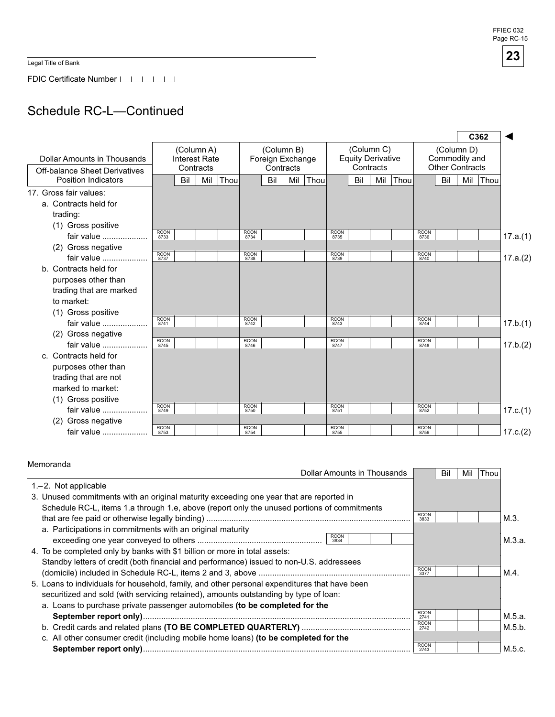FFIEC 032 Page RC-15

**23** 

Legal Title of Bank

FDIC Certificate Number

# Schedule RC-L—Continued

|                                                                     |             |                      |                         |      |             |                                             |     |      |             |                                                     |     |             |             |                                                       |     | C362 |          |
|---------------------------------------------------------------------|-------------|----------------------|-------------------------|------|-------------|---------------------------------------------|-----|------|-------------|-----------------------------------------------------|-----|-------------|-------------|-------------------------------------------------------|-----|------|----------|
| Dollar Amounts in Thousands<br><b>Off-balance Sheet Derivatives</b> |             | <b>Interest Rate</b> | (Column A)<br>Contracts |      |             | (Column B)<br>Foreign Exchange<br>Contracts |     |      |             | (Column C)<br><b>Equity Derivative</b><br>Contracts |     |             |             | (Column D)<br>Commodity and<br><b>Other Contracts</b> |     |      |          |
| <b>Position Indicators</b>                                          |             | Bil                  | Mil                     | Thou |             | Bil                                         | Mil | Thou |             | Bil                                                 | Mil | <b>Thou</b> |             | Bil                                                   | Mil | Thou |          |
| 17. Gross fair values:                                              |             |                      |                         |      |             |                                             |     |      |             |                                                     |     |             |             |                                                       |     |      |          |
| a. Contracts held for                                               |             |                      |                         |      |             |                                             |     |      |             |                                                     |     |             |             |                                                       |     |      |          |
| trading:                                                            |             |                      |                         |      |             |                                             |     |      |             |                                                     |     |             |             |                                                       |     |      |          |
| (1) Gross positive                                                  | <b>RCON</b> |                      |                         |      | <b>RCON</b> |                                             |     |      | <b>RCON</b> |                                                     |     |             | <b>RCON</b> |                                                       |     |      |          |
| fair value                                                          | 8733        |                      |                         |      | 8734        |                                             |     |      | 8735        |                                                     |     |             | 8736        |                                                       |     |      | 17.a.(1) |
| (2) Gross negative                                                  | <b>RCON</b> |                      |                         |      | <b>RCON</b> |                                             |     |      | <b>RCON</b> |                                                     |     |             | <b>RCON</b> |                                                       |     |      |          |
| fair value                                                          | 8737        |                      |                         |      | 8738        |                                             |     |      | 8739        |                                                     |     |             | 8740        |                                                       |     |      | 17.a.(2) |
| b. Contracts held for                                               |             |                      |                         |      |             |                                             |     |      |             |                                                     |     |             |             |                                                       |     |      |          |
| purposes other than                                                 |             |                      |                         |      |             |                                             |     |      |             |                                                     |     |             |             |                                                       |     |      |          |
| trading that are marked                                             |             |                      |                         |      |             |                                             |     |      |             |                                                     |     |             |             |                                                       |     |      |          |
| to market:                                                          |             |                      |                         |      |             |                                             |     |      |             |                                                     |     |             |             |                                                       |     |      |          |
| (1) Gross positive                                                  | <b>RCON</b> |                      |                         |      | <b>RCON</b> |                                             |     |      | <b>RCON</b> |                                                     |     |             | <b>RCON</b> |                                                       |     |      |          |
| fair value                                                          | 8741        |                      |                         |      | 8742        |                                             |     |      | 8743        |                                                     |     |             | 8744        |                                                       |     |      | 17.b.(1) |
| (2) Gross negative                                                  | <b>RCON</b> |                      |                         |      | <b>RCON</b> |                                             |     |      | <b>RCON</b> |                                                     |     |             | <b>RCON</b> |                                                       |     |      |          |
| fair value                                                          | 8745        |                      |                         |      | 8746        |                                             |     |      | 8747        |                                                     |     |             | 8748        |                                                       |     |      | 17.b.(2) |
| c. Contracts held for                                               |             |                      |                         |      |             |                                             |     |      |             |                                                     |     |             |             |                                                       |     |      |          |
| purposes other than                                                 |             |                      |                         |      |             |                                             |     |      |             |                                                     |     |             |             |                                                       |     |      |          |
| trading that are not                                                |             |                      |                         |      |             |                                             |     |      |             |                                                     |     |             |             |                                                       |     |      |          |
| marked to market:                                                   |             |                      |                         |      |             |                                             |     |      |             |                                                     |     |             |             |                                                       |     |      |          |
| (1) Gross positive                                                  | <b>RCON</b> |                      |                         |      | <b>RCON</b> |                                             |     |      | <b>RCON</b> |                                                     |     |             | <b>RCON</b> |                                                       |     |      |          |
| fair value                                                          | 8749        |                      |                         |      | 8750        |                                             |     |      | 8751        |                                                     |     |             | 8752        |                                                       |     |      | 17.c.(1) |
| Gross negative<br>(2)                                               | <b>RCON</b> |                      |                         |      | <b>RCON</b> |                                             |     |      | <b>RCON</b> |                                                     |     |             | <b>RCON</b> |                                                       |     |      |          |
| fair value                                                          | 8753        |                      |                         |      | 8754        |                                             |     |      | 8755        |                                                     |     |             | 8756        |                                                       |     |      | 17.c.(2) |

| Memoranda                                                                                     |                     |     |     |      |        |
|-----------------------------------------------------------------------------------------------|---------------------|-----|-----|------|--------|
| Dollar Amounts in Thousands                                                                   |                     | Bil | Mil | Thou |        |
| 1.-2. Not applicable                                                                          |                     |     |     |      |        |
| 3. Unused commitments with an original maturity exceeding one year that are reported in       |                     |     |     |      |        |
| Schedule RC-L, items 1.a through 1.e, above (report only the unused portions of commitments   |                     |     |     |      |        |
|                                                                                               | <b>RCON</b><br>3833 |     |     |      | M.3.   |
| a. Participations in commitments with an original maturity                                    |                     |     |     |      |        |
| <b>RCON</b><br>3834                                                                           |                     |     |     |      | M.3.a. |
| 4. To be completed only by banks with \$1 billion or more in total assets:                    |                     |     |     |      |        |
| Standby letters of credit (both financial and performance) issued to non-U.S. addressees      |                     |     |     |      |        |
|                                                                                               | <b>RCON</b><br>3377 |     |     |      | M.4.   |
| 5. Loans to individuals for household, family, and other personal expenditures that have been |                     |     |     |      |        |
| securitized and sold (with servicing retained), amounts outstanding by type of loan:          |                     |     |     |      |        |
| a. Loans to purchase private passenger automobiles (to be completed for the                   |                     |     |     |      |        |
|                                                                                               | <b>RCON</b><br>2741 |     |     |      | M.5.a. |
|                                                                                               | <b>RCON</b><br>2742 |     |     |      | M.5.b. |
| c. All other consumer credit (including mobile home loans) (to be completed for the           |                     |     |     |      |        |
|                                                                                               | <b>RCON</b><br>2743 |     |     |      | M.5.c. |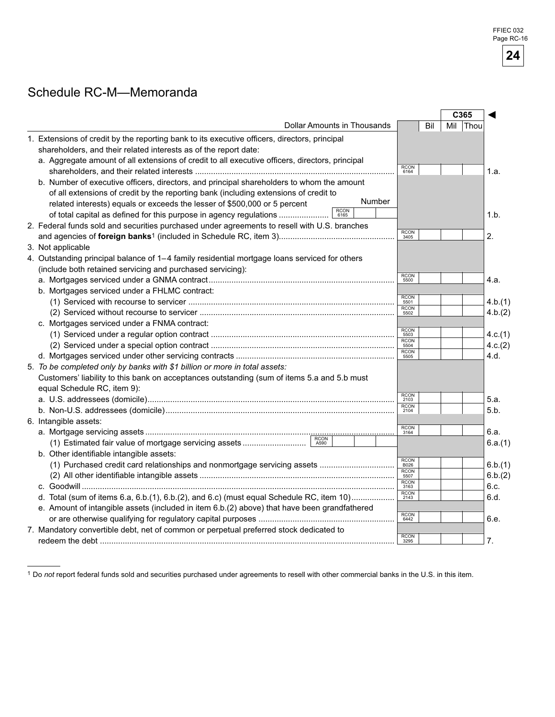# Schedule RC-M—Memoranda

|                                                                                                 |                     | C365        |         |
|-------------------------------------------------------------------------------------------------|---------------------|-------------|---------|
| Dollar Amounts in Thousands                                                                     | Bil                 | Mil<br>Thou |         |
| 1. Extensions of credit by the reporting bank to its executive officers, directors, principal   |                     |             |         |
| shareholders, and their related interests as of the report date:                                |                     |             |         |
| a. Aggregate amount of all extensions of credit to all executive officers, directors, principal |                     |             |         |
|                                                                                                 | <b>RCON</b><br>6164 |             | 1.a.    |
| b. Number of executive officers, directors, and principal shareholders to whom the amount       |                     |             |         |
| of all extensions of credit by the reporting bank (including extensions of credit to            |                     |             |         |
| Number<br>related interests) equals or exceeds the lesser of \$500,000 or 5 percent             |                     |             |         |
| <b>RCON</b><br>of total capital as defined for this purpose in agency regulations<br>6165       |                     |             | 1.h.    |
| 2. Federal funds sold and securities purchased under agreements to resell with U.S. branches    |                     |             |         |
|                                                                                                 | <b>RCON</b><br>3405 |             | 2.      |
| 3. Not applicable                                                                               |                     |             |         |
| 4. Outstanding principal balance of 1-4 family residential mortgage loans serviced for others   |                     |             |         |
| (include both retained servicing and purchased servicing):                                      |                     |             |         |
|                                                                                                 | <b>RCON</b><br>5500 |             | 4.a.    |
| b. Mortgages serviced under a FHLMC contract:                                                   |                     |             |         |
|                                                                                                 | <b>RCON</b><br>5501 |             | 4.b.(1) |
|                                                                                                 | <b>RCON</b><br>5502 |             | 4.b.(2) |
| c. Mortgages serviced under a FNMA contract:                                                    |                     |             |         |
|                                                                                                 | <b>RCON</b><br>5503 |             | 4.c.(1) |
|                                                                                                 | <b>RCON</b><br>5504 |             | 4.c.(2) |
|                                                                                                 | <b>RCON</b><br>5505 |             | 4.d.    |
| 5. To be completed only by banks with \$1 billion or more in total assets:                      |                     |             |         |
| Customers' liability to this bank on acceptances outstanding (sum of items 5.a and 5.b must     |                     |             |         |
| equal Schedule RC, item 9):                                                                     |                     |             |         |
|                                                                                                 | <b>RCON</b><br>2103 |             | 5.a.    |
|                                                                                                 | <b>RCON</b><br>2104 |             | 5.b.    |
| 6. Intangible assets:                                                                           |                     |             |         |
|                                                                                                 | RCON<br>3164        |             | 6.a.    |
| $rac{1}{\sqrt{2}}$<br>A590                                                                      |                     |             | 6.a.(1) |
| b. Other identifiable intangible assets:                                                        |                     |             |         |
| (1) Purchased credit card relationships and nonmortgage servicing assets                        | <b>RCON</b><br>B026 |             | 6.b.(1) |
|                                                                                                 | <b>RCON</b><br>5507 |             | 6.b.(2) |
|                                                                                                 | <b>RCON</b><br>3163 |             | 6.c.    |
| d. Total (sum of items 6.a, 6.b.(1), 6.b.(2), and 6.c) (must equal Schedule RC, item 10)        | RCON<br>2143        |             | 6.d.    |
| e. Amount of intangible assets (included in item 6.b.(2) above) that have been grandfathered    |                     |             |         |
|                                                                                                 | RCON<br>6442        |             | 6.e.    |
| 7. Mandatory convertible debt, net of common or perpetual preferred stock dedicated to          |                     |             |         |
|                                                                                                 | <b>RCON</b><br>3295 |             | 7.      |
|                                                                                                 |                     |             |         |

Do *not* report federal funds sold and securities purchased under agreements to resell with other commercial banks in the U.S. in this item.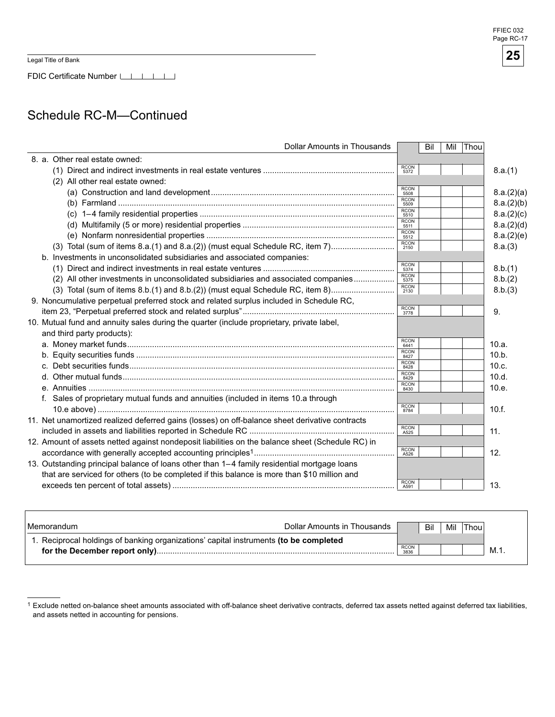Legal Title of Bank

FDIC Certificate Number

## Schedule RC-M—Continued

| <b>Dollar Amounts in Thousands</b>                                                               |                     | Bil | Mil | Thou |            |
|--------------------------------------------------------------------------------------------------|---------------------|-----|-----|------|------------|
| 8. a. Other real estate owned:                                                                   |                     |     |     |      |            |
|                                                                                                  | <b>RCON</b><br>5372 |     |     |      | 8.a.(1)    |
| (2) All other real estate owned:                                                                 |                     |     |     |      |            |
|                                                                                                  | <b>RCON</b><br>5508 |     |     |      | 8.a.(2)(a) |
|                                                                                                  | <b>RCON</b><br>5509 |     |     |      | 8.a.(2)(b) |
|                                                                                                  | <b>RCON</b><br>5510 |     |     |      | 8.a.(2)(c) |
|                                                                                                  | <b>RCON</b><br>5511 |     |     |      | 8.a.(2)(d) |
|                                                                                                  | <b>RCON</b><br>5512 |     |     |      | 8.a.(2)(e) |
| (3) Total (sum of items 8.a.(1) and 8.a.(2)) (must equal Schedule RC, item 7)                    | <b>RCON</b><br>2150 |     |     |      | 8.a.(3)    |
| b. Investments in unconsolidated subsidiaries and associated companies:                          |                     |     |     |      |            |
|                                                                                                  | <b>RCON</b><br>5374 |     |     |      | 8.b.(1)    |
| (2) All other investments in unconsolidated subsidiaries and associated companies                | <b>RCON</b><br>5375 |     |     |      | 8.b.(2)    |
| (3) Total (sum of items 8.b.(1) and 8.b.(2)) (must equal Schedule RC, item 8)                    | <b>RCON</b><br>2130 |     |     |      | 8.b.(3)    |
| 9. Noncumulative perpetual preferred stock and related surplus included in Schedule RC,          |                     |     |     |      |            |
|                                                                                                  | <b>RCON</b><br>3778 |     |     |      | 9.         |
| 10. Mutual fund and annuity sales during the quarter (include proprietary, private label,        |                     |     |     |      |            |
| and third party products):                                                                       |                     |     |     |      |            |
|                                                                                                  | <b>RCON</b><br>6441 |     |     |      | 10.a.      |
|                                                                                                  | <b>RCON</b><br>8427 |     |     |      | 10.b.      |
| C.                                                                                               | <b>RCON</b><br>8428 |     |     |      | 10.c.      |
|                                                                                                  | <b>RCON</b><br>8429 |     |     |      | 10.d.      |
|                                                                                                  | <b>RCON</b><br>8430 |     |     |      | 10.e.      |
| f. Sales of proprietary mutual funds and annuities (included in items 10.a through               |                     |     |     |      |            |
|                                                                                                  | <b>RCON</b><br>8784 |     |     |      | 10.f.      |
| 11. Net unamortized realized deferred gains (losses) on off-balance sheet derivative contracts   |                     |     |     |      |            |
|                                                                                                  | <b>RCON</b><br>A525 |     |     |      | 11.        |
| 12. Amount of assets netted against nondeposit liabilities on the balance sheet (Schedule RC) in |                     |     |     |      |            |
|                                                                                                  | <b>RCON</b><br>A526 |     |     |      | 12.        |
| 13. Outstanding principal balance of loans other than 1-4 family residential mortgage loans      |                     |     |     |      |            |
| that are serviced for others (to be completed if this balance is more than \$10 million and      |                     |     |     |      |            |
|                                                                                                  | <b>RCON</b><br>A591 |     |     |      | 13.        |

| l Memorandum                                                                          | Dollar Amounts in Thousands |             | Bil | Mil | 'Thou⊤ |     |
|---------------------------------------------------------------------------------------|-----------------------------|-------------|-----|-----|--------|-----|
| 1. Reciprocal holdings of banking organizations' capital instruments (to be completed |                             | <b>RCON</b> |     |     |        | M.1 |
|                                                                                       |                             | 3836        |     |     |        |     |

Exclude netted on-balance sheet amounts associated with off-balance sheet derivative contracts, deferred tax assets netted against deferred tax liabilities, and assets netted in accounting for pensions.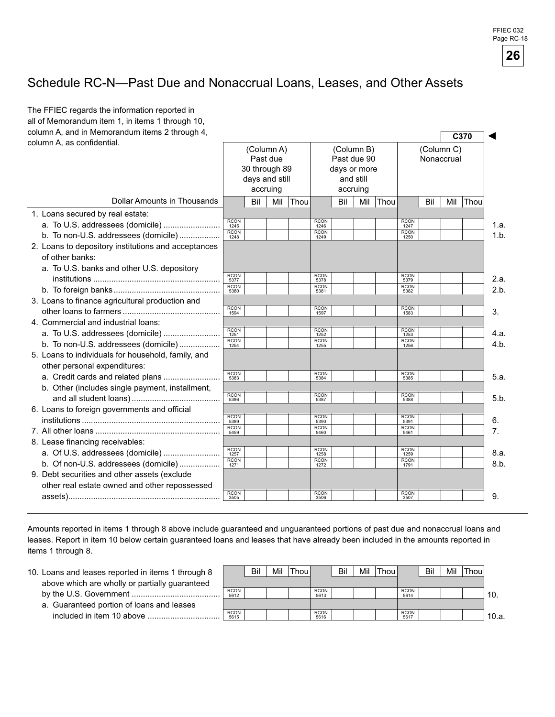

### Schedule RC-N—Past Due and Nonaccrual Loans, Leases, and Other Assets

| column A, and in Memorandum items 2 through 4,<br>column A, as confidential. |                     | (Column A)<br>Past due<br>30 through 89<br>days and still<br>accruing |     |      |                     | (Column B)<br>Past due 90<br>days or more<br>and still<br>accruing |     |      |                     |     | (Column C)<br>Nonaccrual | C370 |
|------------------------------------------------------------------------------|---------------------|-----------------------------------------------------------------------|-----|------|---------------------|--------------------------------------------------------------------|-----|------|---------------------|-----|--------------------------|------|
| Dollar Amounts in Thousands                                                  |                     | Bil                                                                   | Mil | Thou |                     | Bil                                                                | Mil | Thou |                     | Bil | Mil                      | Thou |
| 1. Loans secured by real estate:                                             | <b>RCON</b>         |                                                                       |     |      | <b>RCON</b>         |                                                                    |     |      | <b>RCON</b>         |     |                          |      |
|                                                                              | 1245<br><b>RCON</b> |                                                                       |     |      | 1246<br><b>RCON</b> |                                                                    |     |      | 1247<br><b>RCON</b> |     |                          |      |
| b. To non-U.S. addressees (domicile)                                         | 1248                |                                                                       |     |      | 1249                |                                                                    |     |      | 1250                |     |                          |      |
| 2. Loans to depository institutions and acceptances                          |                     |                                                                       |     |      |                     |                                                                    |     |      |                     |     |                          |      |
| of other banks:                                                              |                     |                                                                       |     |      |                     |                                                                    |     |      |                     |     |                          |      |
| a. To U.S. banks and other U.S. depository                                   | <b>RCON</b>         |                                                                       |     |      | <b>RCON</b>         |                                                                    |     |      | <b>RCON</b>         |     |                          |      |
|                                                                              | 5377<br><b>RCON</b> |                                                                       |     |      | 5378<br><b>RCON</b> |                                                                    |     |      | 5379<br><b>RCON</b> |     |                          |      |
|                                                                              | 5380                |                                                                       |     |      | 5381                |                                                                    |     |      | 5382                |     |                          |      |
| 3. Loans to finance agricultural production and                              | <b>RCON</b>         |                                                                       |     |      | <b>RCON</b>         |                                                                    |     |      | <b>RCON</b>         |     |                          |      |
|                                                                              | 1594                |                                                                       |     |      | 1597                |                                                                    |     |      | 1583                |     |                          |      |
| 4. Commercial and industrial loans:                                          | <b>RCON</b>         |                                                                       |     |      | <b>RCON</b>         |                                                                    |     |      | <b>RCON</b>         |     |                          |      |
| a. To U.S. addressees (domicile)                                             | 1251<br><b>RCON</b> |                                                                       |     |      | 1252<br><b>RCON</b> |                                                                    |     |      | 1253<br><b>RCON</b> |     |                          |      |
| b. To non-U.S. addressees (domicile)                                         | 1254                |                                                                       |     |      | 1255                |                                                                    |     |      | 1256                |     |                          |      |
| 5. Loans to individuals for household, family, and                           |                     |                                                                       |     |      |                     |                                                                    |     |      |                     |     |                          |      |
| other personal expenditures:<br>a. Credit cards and related plans            | RCON<br>5383        |                                                                       |     |      | <b>RCON</b>         |                                                                    |     |      | RCON<br>5385        |     |                          |      |
| b. Other (includes single payment, installment,                              |                     |                                                                       |     |      | 5384                |                                                                    |     |      |                     |     |                          |      |
|                                                                              | <b>RCON</b>         |                                                                       |     |      | <b>RCON</b>         |                                                                    |     |      | <b>RCON</b>         |     |                          |      |
| 6. Loans to foreign governments and official                                 | 5386                |                                                                       |     |      | 5387                |                                                                    |     |      | 5388                |     |                          |      |
|                                                                              | <b>RCON</b><br>5389 |                                                                       |     |      | <b>RCON</b><br>5390 |                                                                    |     |      | <b>RCON</b><br>5391 |     |                          |      |
|                                                                              | <b>RCON</b><br>5459 |                                                                       |     |      | <b>RCON</b><br>5460 |                                                                    |     |      | <b>RCON</b><br>5461 |     |                          |      |
| 8. Lease financing receivables:                                              |                     |                                                                       |     |      |                     |                                                                    |     |      |                     |     |                          |      |
| a. Of U.S. addressees (domicile)                                             | <b>RCON</b><br>1257 |                                                                       |     |      | <b>RCON</b><br>1258 |                                                                    |     |      | <b>RCON</b><br>1259 |     |                          |      |
| b. Of non-U.S. addressees (domicile)                                         | <b>RCON</b><br>1271 |                                                                       |     |      | <b>RCON</b><br>1272 |                                                                    |     |      | <b>RCON</b><br>1791 |     |                          |      |
| 9. Debt securities and other assets (exclude                                 |                     |                                                                       |     |      |                     |                                                                    |     |      |                     |     |                          |      |
| other real estate owned and other repossessed                                |                     |                                                                       |     |      |                     |                                                                    |     |      |                     |     |                          |      |
|                                                                              | <b>RCON</b><br>3505 |                                                                       |     |      | <b>RCON</b><br>3506 |                                                                    |     |      | <b>RCON</b><br>3507 |     |                          |      |

Amounts reported in items 1 through 8 above include guaranteed and unguaranteed portions of past due and nonaccrual loans and leases. Report in item 10 below certain guaranteed loans and leases that have already been included in the amounts reported in items 1 through 8.

- 10. Loans and leases reported in items 1 through 8 above which are wholly or partially guaranteed by the U.S. Government .......................................
	- a. Guaranteed portion of loans and leases included in item 0 above ................................

|                     | Bil | Mil | Thou |                     | Bil | Mil | Thou |                     | Bil | Mil | Thou |       |
|---------------------|-----|-----|------|---------------------|-----|-----|------|---------------------|-----|-----|------|-------|
|                     |     |     |      |                     |     |     |      |                     |     |     |      |       |
| <b>RCON</b><br>5612 |     |     |      | <b>RCON</b><br>5613 |     |     |      | <b>RCON</b><br>5614 |     |     |      | 10.   |
|                     |     |     |      |                     |     |     |      |                     |     |     |      |       |
| <b>RCON</b><br>5615 |     |     |      | <b>RCON</b><br>5616 |     |     |      | <b>RCON</b><br>5617 |     |     |      | 10.a. |
|                     |     |     |      |                     |     |     |      |                     |     |     |      |       |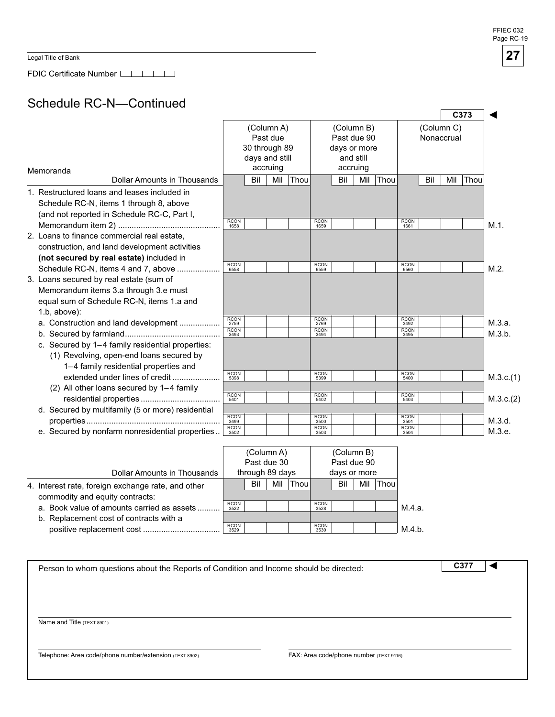Legal Title of Bank

FDIC Certificate Number

### Schedule RC-N—Continued

|                                                   |                     |                |            |      |                     |              |            |      |                     |            |            | C <sub>373</sub> |           |
|---------------------------------------------------|---------------------|----------------|------------|------|---------------------|--------------|------------|------|---------------------|------------|------------|------------------|-----------|
|                                                   |                     |                | (Column A) |      |                     |              | (Column B) |      |                     |            | (Column C) |                  |           |
|                                                   |                     |                | Past due   |      |                     | Past due 90  |            |      |                     | Nonaccrual |            |                  |           |
|                                                   |                     | 30 through 89  |            |      |                     | days or more |            |      |                     |            |            |                  |           |
|                                                   |                     | days and still |            |      |                     |              | and still  |      |                     |            |            |                  |           |
| Memoranda                                         |                     |                | accruing   |      |                     |              | accruing   |      |                     |            |            |                  |           |
| <b>Dollar Amounts in Thousands</b>                |                     | Bil            | Mil        | Thou |                     | Bil          | Mil        | Thou |                     | Bil        | Mil        | Thou             |           |
| 1. Restructured loans and leases included in      |                     |                |            |      |                     |              |            |      |                     |            |            |                  |           |
| Schedule RC-N, items 1 through 8, above           |                     |                |            |      |                     |              |            |      |                     |            |            |                  |           |
| (and not reported in Schedule RC-C, Part I,       |                     |                |            |      |                     |              |            |      |                     |            |            |                  |           |
|                                                   | <b>RCON</b><br>1658 |                |            |      | <b>RCON</b><br>1659 |              |            |      | <b>RCON</b><br>1661 |            |            |                  | $M.1$ .   |
| 2. Loans to finance commercial real estate.       |                     |                |            |      |                     |              |            |      |                     |            |            |                  |           |
| construction, and land development activities     |                     |                |            |      |                     |              |            |      |                     |            |            |                  |           |
| (not secured by real estate) included in          |                     |                |            |      |                     |              |            |      |                     |            |            |                  |           |
| Schedule RC-N, items 4 and 7, above               | <b>RCON</b><br>6558 |                |            |      | <b>RCON</b><br>6559 |              |            |      | <b>RCON</b><br>6560 |            |            |                  | $M.2$ .   |
| 3. Loans secured by real estate (sum of           |                     |                |            |      |                     |              |            |      |                     |            |            |                  |           |
| Memorandum items 3.a through 3.e must             |                     |                |            |      |                     |              |            |      |                     |            |            |                  |           |
| equal sum of Schedule RC-N, items 1.a and         |                     |                |            |      |                     |              |            |      |                     |            |            |                  |           |
| $1.b$ , above):                                   |                     |                |            |      |                     |              |            |      |                     |            |            |                  |           |
| a. Construction and land development              | <b>RCON</b><br>2759 |                |            |      | <b>RCON</b><br>2769 |              |            |      | <b>RCON</b><br>3492 |            |            |                  | M.3.a.    |
|                                                   | <b>RCON</b><br>3493 |                |            |      | <b>RCON</b><br>3494 |              |            |      | <b>RCON</b><br>3495 |            |            |                  | M.3.b.    |
| c. Secured by 1-4 family residential properties:  |                     |                |            |      |                     |              |            |      |                     |            |            |                  |           |
| (1) Revolving, open-end loans secured by          |                     |                |            |      |                     |              |            |      |                     |            |            |                  |           |
| 1-4 family residential properties and             |                     |                |            |      |                     |              |            |      |                     |            |            |                  |           |
| extended under lines of credit                    | <b>RCON</b><br>5398 |                |            |      | <b>RCON</b><br>5399 |              |            |      | <b>RCON</b><br>5400 |            |            |                  | M.3.c.(1) |
| (2) All other loans secured by 1-4 family         |                     |                |            |      |                     |              |            |      |                     |            |            |                  |           |
|                                                   | <b>RCON</b><br>5401 |                |            |      | <b>RCON</b><br>5402 |              |            |      | <b>RCON</b><br>5403 |            |            |                  | M.3.c.(2) |
| d. Secured by multifamily (5 or more) residential |                     |                |            |      |                     |              |            |      |                     |            |            |                  |           |
|                                                   | <b>RCON</b><br>3499 |                |            |      | <b>RCON</b><br>3500 |              |            |      | <b>RCON</b><br>3501 |            |            |                  | M.3.d.    |
| e. Secured by nonfarm nonresidential properties   | <b>RCON</b><br>3502 |                |            |      | <b>RCON</b><br>3503 |              |            |      | <b>RCON</b><br>3504 |            |            |                  | M.3.e.    |

|                                                    |                     | (Column A)      |     |       |                     | (Column B)   |     |       |        |
|----------------------------------------------------|---------------------|-----------------|-----|-------|---------------------|--------------|-----|-------|--------|
|                                                    |                     | Past due 30     |     |       |                     | Past due 90  |     |       |        |
| Dollar Amounts in Thousands                        |                     | through 89 days |     |       |                     | days or more |     |       |        |
| 4. Interest rate, foreign exchange rate, and other |                     | Bil             | Mil | Thoul |                     | Bil          | Mil | Thoul |        |
| commodity and equity contracts:                    |                     |                 |     |       |                     |              |     |       |        |
| a. Book value of amounts carried as assets         | <b>RCON</b><br>3522 |                 |     |       | <b>RCON</b><br>3528 |              |     |       | M.4.a. |
| b. Replacement cost of contracts with a            |                     |                 |     |       |                     |              |     |       |        |
| positive replacement cost                          | <b>RCON</b><br>3529 |                 |     |       | <b>RCON</b><br>3530 |              |     |       | M.4.b. |

| Person to whom questions about the Reports of Condition and Income should be directed: |                                         | C <sub>37</sub> |  |
|----------------------------------------------------------------------------------------|-----------------------------------------|-----------------|--|
|                                                                                        |                                         |                 |  |
|                                                                                        |                                         |                 |  |
|                                                                                        |                                         |                 |  |
|                                                                                        |                                         |                 |  |
| Name and Title (TEXT 8901)                                                             |                                         |                 |  |
|                                                                                        |                                         |                 |  |
|                                                                                        |                                         |                 |  |
| Telephone: Area code/phone number/extension (TEXT 8902)                                | FAX: Area code/phone number (TEXT 9116) |                 |  |
|                                                                                        |                                         |                 |  |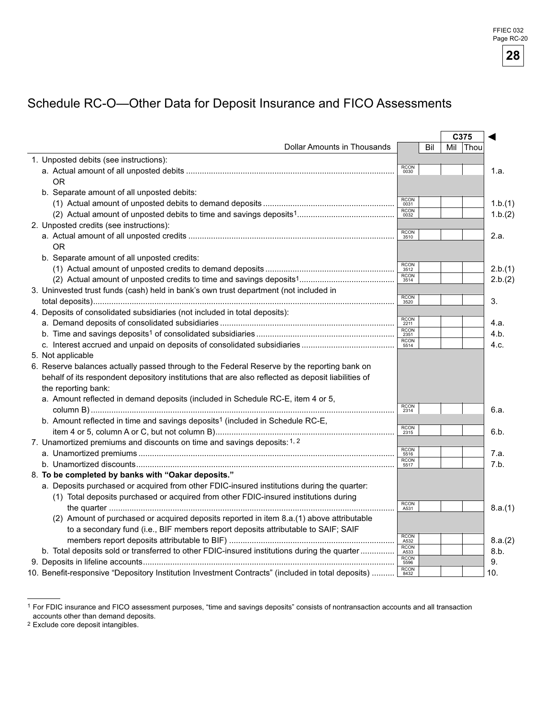# Schedule RC-O—Other Data for Deposit Insurance and FICO Assessments

|                                                                                                    |                     |     |     | C375 |         |
|----------------------------------------------------------------------------------------------------|---------------------|-----|-----|------|---------|
| <b>Dollar Amounts in Thousands</b>                                                                 |                     | Bil | Mil | Thou |         |
| 1. Unposted debits (see instructions):                                                             |                     |     |     |      |         |
|                                                                                                    | <b>RCON</b><br>0030 |     |     |      | 1.a.    |
| 0 <sub>R</sub>                                                                                     |                     |     |     |      |         |
| b. Separate amount of all unposted debits:                                                         |                     |     |     |      |         |
|                                                                                                    | <b>RCON</b><br>0031 |     |     |      | 1.b.(1) |
|                                                                                                    | <b>RCON</b><br>0032 |     |     |      | 1.b.(2) |
| 2. Unposted credits (see instructions):                                                            |                     |     |     |      |         |
|                                                                                                    | <b>RCON</b><br>3510 |     |     |      | 2.a.    |
| <b>OR</b>                                                                                          |                     |     |     |      |         |
| b. Separate amount of all unposted credits:                                                        |                     |     |     |      |         |
|                                                                                                    | <b>RCON</b><br>3512 |     |     |      | 2.b.(1) |
|                                                                                                    | <b>RCON</b><br>3514 |     |     |      | 2.b.(2) |
| 3. Uninvested trust funds (cash) held in bank's own trust department (not included in              |                     |     |     |      |         |
|                                                                                                    | RCON<br>3520        |     |     |      | 3.      |
| 4. Deposits of consolidated subsidiaries (not included in total deposits):                         |                     |     |     |      |         |
|                                                                                                    | <b>RCON</b><br>2211 |     |     |      | 4.a.    |
|                                                                                                    | <b>RCON</b><br>2351 |     |     |      | 4.b.    |
|                                                                                                    | <b>RCON</b><br>5514 |     |     |      | 4.c.    |
| 5. Not applicable                                                                                  |                     |     |     |      |         |
| 6. Reserve balances actually passed through to the Federal Reserve by the reporting bank on        |                     |     |     |      |         |
| behalf of its respondent depository institutions that are also reflected as deposit liabilities of |                     |     |     |      |         |
| the reporting bank:                                                                                |                     |     |     |      |         |
| a. Amount reflected in demand deposits (included in Schedule RC-E, item 4 or 5,                    |                     |     |     |      |         |
|                                                                                                    | RCON<br>2314        |     |     |      | 6.a.    |
| b. Amount reflected in time and savings deposits <sup>1</sup> (included in Schedule RC-E,          |                     |     |     |      |         |
|                                                                                                    | <b>RCON</b><br>2315 |     |     |      | 6.b.    |
| 7. Unamortized premiums and discounts on time and savings deposits: 1, 2                           |                     |     |     |      |         |
|                                                                                                    | <b>RCON</b><br>5516 |     |     |      | 7.a.    |
|                                                                                                    | <b>RCON</b><br>5517 |     |     |      | 7.b.    |
| 8. To be completed by banks with "Oakar deposits."                                                 |                     |     |     |      |         |
| a. Deposits purchased or acquired from other FDIC-insured institutions during the quarter:         |                     |     |     |      |         |
| (1) Total deposits purchased or acquired from other FDIC-insured institutions during               |                     |     |     |      |         |
|                                                                                                    | <b>RCON</b><br>A531 |     |     |      | 8.a.(1) |
| (2) Amount of purchased or acquired deposits reported in item 8.a.(1) above attributable           |                     |     |     |      |         |
| to a secondary fund (i.e., BIF members report deposits attributable to SAIF; SAIF                  |                     |     |     |      |         |
|                                                                                                    | <b>RCON</b><br>A532 |     |     |      | 8.a.(2) |
| b. Total deposits sold or transferred to other FDIC-insured institutions during the quarter        | <b>RCON</b><br>A533 |     |     |      | 8.b.    |
|                                                                                                    | <b>RCON</b><br>5596 |     |     |      | 9.      |
| 10. Benefit-responsive "Depository Institution Investment Contracts" (included in total deposits)  | <b>RCON</b><br>8432 |     |     |      | 10.     |

<sup>1</sup> For FDIC insurance and FICO assessment purposes, "time and savings deposits" consists of nontransaction accounts and all transaction accounts other than demand deposits.

<sup>2</sup> Exclude core deposit intangibles.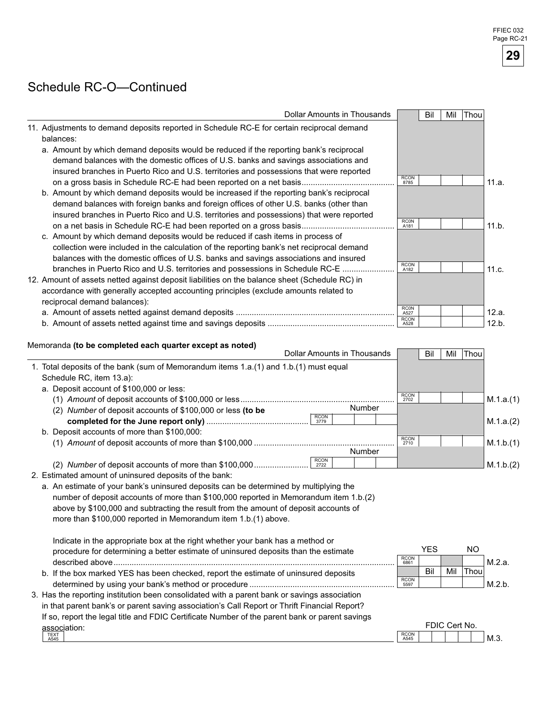## Schedule RC-O—Continued

| <b>Dollar Amounts in Thousands</b>                                                                                                                                             |                     | Bil        | Mil | Thou      |           |
|--------------------------------------------------------------------------------------------------------------------------------------------------------------------------------|---------------------|------------|-----|-----------|-----------|
| 11. Adjustments to demand deposits reported in Schedule RC-E for certain reciprocal demand                                                                                     |                     |            |     |           |           |
| balances:                                                                                                                                                                      |                     |            |     |           |           |
| a. Amount by which demand deposits would be reduced if the reporting bank's reciprocal                                                                                         |                     |            |     |           |           |
| demand balances with the domestic offices of U.S. banks and savings associations and                                                                                           |                     |            |     |           |           |
| insured branches in Puerto Rico and U.S. territories and possessions that were reported                                                                                        |                     |            |     |           |           |
| on a gross basis in Schedule RC-E had been reported on a net basis                                                                                                             | <b>RCON</b><br>8785 |            |     |           | 11.a.     |
| b. Amount by which demand deposits would be increased if the reporting bank's reciprocal                                                                                       |                     |            |     |           |           |
| demand balances with foreign banks and foreign offices of other U.S. banks (other than                                                                                         |                     |            |     |           |           |
| insured branches in Puerto Rico and U.S. territories and possessions) that were reported                                                                                       |                     |            |     |           |           |
| on a net basis in Schedule RC-E had been reported on a gross basis                                                                                                             | <b>RCON</b><br>A181 |            |     |           | 11.b.     |
| c. Amount by which demand deposits would be reduced if cash items in process of                                                                                                |                     |            |     |           |           |
| collection were included in the calculation of the reporting bank's net reciprocal demand                                                                                      |                     |            |     |           |           |
| balances with the domestic offices of U.S. banks and savings associations and insured                                                                                          |                     |            |     |           |           |
| branches in Puerto Rico and U.S. territories and possessions in Schedule RC-E.                                                                                                 | <b>RCON</b><br>A182 |            |     |           | 11.c.     |
| 12. Amount of assets netted against deposit liabilities on the balance sheet (Schedule RC) in                                                                                  |                     |            |     |           |           |
| accordance with generally accepted accounting principles (exclude amounts related to                                                                                           |                     |            |     |           |           |
| reciprocal demand balances):                                                                                                                                                   |                     |            |     |           |           |
|                                                                                                                                                                                | <b>RCON</b><br>A527 |            |     |           | 12.a.     |
|                                                                                                                                                                                | <b>RCON</b><br>A528 |            |     |           | 12.b.     |
| 1. Total deposits of the bank (sum of Memorandum items 1.a.(1) and 1.b.(1) must equal<br>Schedule RC, item 13.a):                                                              |                     |            |     |           |           |
| a. Deposit account of \$100,000 or less:                                                                                                                                       |                     |            |     |           |           |
|                                                                                                                                                                                | <b>RCON</b><br>2702 |            |     |           | M.1.a.(1) |
| Number<br>(2) Number of deposit accounts of \$100,000 or less (to be<br><b>RCON</b>                                                                                            |                     |            |     |           |           |
| 3779                                                                                                                                                                           |                     |            |     |           | M.1.a.(2) |
| b. Deposit accounts of more than \$100,000:                                                                                                                                    | <b>RCON</b>         |            |     |           |           |
| Number                                                                                                                                                                         | 2710                |            |     |           | M.1.b.(1) |
| <b>RCON</b>                                                                                                                                                                    |                     |            |     |           |           |
| (2) Number of deposit accounts of more than \$100,000<br>2722                                                                                                                  |                     |            |     |           | M.1.b.(2) |
| 2. Estimated amount of uninsured deposits of the bank:                                                                                                                         |                     |            |     |           |           |
| a. An estimate of your bank's uninsured deposits can be determined by multiplying the<br>number of deposit accounts of more than \$100,000 reported in Memorandum item 1.b.(2) |                     |            |     |           |           |
| above by \$100,000 and subtracting the result from the amount of deposit accounts of                                                                                           |                     |            |     |           |           |
| more than \$100,000 reported in Memorandum item 1.b.(1) above.                                                                                                                 |                     |            |     |           |           |
|                                                                                                                                                                                |                     |            |     |           |           |
| Indicate in the appropriate box at the right whether your bank has a method or                                                                                                 |                     |            |     |           |           |
| procedure for determining a better estimate of uninsured deposits than the estimate                                                                                            |                     | <b>YES</b> |     | <b>NO</b> |           |
|                                                                                                                                                                                | <b>RCON</b><br>6861 |            |     |           | M.2.a.    |
| b. If the box marked YES has been checked, report the estimate of uninsured deposits                                                                                           |                     | Bil        | Mil | Thou      |           |
|                                                                                                                                                                                | <b>RCON</b><br>5597 |            |     |           | M.2.b.    |
| 3. Has the reporting institution been consolidated with a parent bank or savings association                                                                                   |                     |            |     |           |           |
| in that parent bank's or parent saving association's Call Report or Thrift Financial Report?                                                                                   |                     |            |     |           |           |

If so, report the legal title and FDIC Certificate Number of the parent bank or parent savings

| . .<br>association: |                     | FП<br>ж | er. | . .<br>No. |     |
|---------------------|---------------------|---------|-----|------------|-----|
| TEXT<br>A545        | <b>RCON</b><br>A545 |         |     |            | M.3 |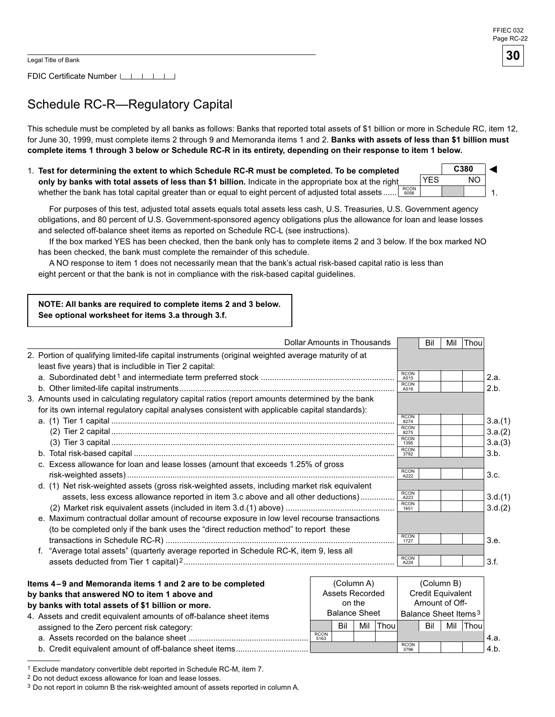FDIC Certificate Number [16]

# Schedule RC-R—Regulatory Capital

This schedule must be completed by all banks as follows: Banks that reported total assets of \$1 billion or more in Schedule RC, item 12, for June 30, 1999, must complete items 2 through 9 and Memoranda items 1 and 2. Banks with assets of less than \$1 billion must complete items 1 through 3 below or Schedule RC-R in its entirety, depending on their response to item 1 below.

1. Test for determining the extent to which Schedule RC-R must be completed. To be completed **only by banks with total assets of less than \$1 billion.** Indicate in the appropriate box at the right whether the bank has total capital greater than or equal to eight percent of adjusted total assets ......  $\left.\begin{array}{l} \text{RCON} \ \text{6056} \end{array}\right.$ **C380** 1. ◄ YES NO

For purposes of this test, adjusted total assets equals total assets less cash, U.S. Treasuries, U.S. Government agency obligations, and 80 percent of U.S. Government-sponsored agency obligations plus the allowance for loan and lease losses and selected off-balance sheet items as reported on Schedule RC-L (see instructions).

If the box marked YES has been checked, then the bank only has to complete items 2 and below. If the box marked NO has been checked, the bank must complete the remainder of this schedule.

A NO response to item 1 does not necessarily mean that the bank's actual risk-based capital ratio is less than eight percent or that the bank is not in compliance with the risk-based capital guidelines.

#### **NOTE: All banks are required to complete items 2 and 3 below. See optional worksheet for items 3.a through 3.f.**

|                                                                                                                                                                                                    | Dollar Amounts in Thousands |                                                           | Bil        | Mil | Thou |                    |
|----------------------------------------------------------------------------------------------------------------------------------------------------------------------------------------------------|-----------------------------|-----------------------------------------------------------|------------|-----|------|--------------------|
| 2. Portion of qualifying limited-life capital instruments (original weighted average maturity of at<br>least five years) that is includible in Tier 2 capital:                                     |                             |                                                           |            |     |      |                    |
|                                                                                                                                                                                                    |                             | <b>RCON</b><br>A515<br><b>RCON</b><br>A516                |            |     |      | 2.a.<br>2.b.       |
| 3. Amounts used in calculating regulatory capital ratios (report amounts determined by the bank<br>for its own internal regulatory capital analyses consistent with applicable capital standards): |                             |                                                           |            |     |      |                    |
|                                                                                                                                                                                                    |                             | <b>RCON</b><br>8274<br><b>RCON</b><br>8275<br><b>RCON</b> |            |     |      | 3.a.(1)<br>3.a.(2) |
| c. Excess allowance for loan and lease losses (amount that exceeds 1.25% of gross                                                                                                                  |                             | 1395<br><b>RCON</b><br>3792                               |            |     |      | 3.a.(3)<br>3.b.    |
| d. (1) Net risk-weighted assets (gross risk-weighted assets, including market risk equivalent                                                                                                      |                             | <b>RCON</b><br>A222<br><b>RCON</b>                        |            |     |      | 3.c.               |
| assets, less excess allowance reported in item 3.c above and all other deductions)<br>e. Maximum contractual dollar amount of recourse exposure in low level recourse transactions                 |                             | A223<br><b>RCON</b><br>1651                               |            |     |      | 3.d.(1)<br>3.d.(2) |
| (to be completed only if the bank uses the "direct reduction method" to report these                                                                                                               |                             | <b>RCON</b><br>1727                                       |            |     |      | 3.e.               |
| f. "Average total assets" (quarterly average reported in Schedule RC-K, item 9, less all                                                                                                           |                             | <b>RCON</b><br>A224                                       |            |     |      | 3.f.               |
| Items 4–9 and Memoranda items 1 and 2 are to be completed                                                                                                                                          | (Column A)                  |                                                           | (Column B) |     |      |                    |

| ltems 4–9 and Memoranda items 1 and 2 are to be completed          |                      |        | (Column A)      |                                  | (Column B)          |                          |     |             |      |
|--------------------------------------------------------------------|----------------------|--------|-----------------|----------------------------------|---------------------|--------------------------|-----|-------------|------|
| by banks that answered NO to item 1 above and                      |                      |        | Assets Recorded |                                  |                     | <b>Credit Equivalent</b> |     |             |      |
| by banks with total assets of \$1 billion or more.                 |                      | on the |                 |                                  | Amount of Off-      |                          |     |             |      |
| 4. Assets and credit equivalent amounts of off-balance sheet items | <b>Balance Sheet</b> |        |                 | Balance Sheet Items <sup>3</sup> |                     |                          |     |             |      |
| assigned to the Zero percent risk category:                        |                      | Bil    | Mil             | Thoul                            |                     | Bil                      | Mil | <b>Thou</b> |      |
|                                                                    | <b>RCON</b><br>5163  |        |                 |                                  |                     |                          |     |             | 4.а. |
| b. Credit equivalent amount of off-balance sheet items             |                      |        |                 |                                  | <b>RCON</b><br>3796 |                          |     |             | 4.b. |

<sup>1</sup> Exclude mandatory convertible debt reported in Schedule RC-M, item 7.

<sup>2</sup> Do not deduct excess allowance for loan and lease losses.

<sup>&</sup>lt;sup>3</sup> Do not report in column B the risk-weighted amount of assets reported in column A.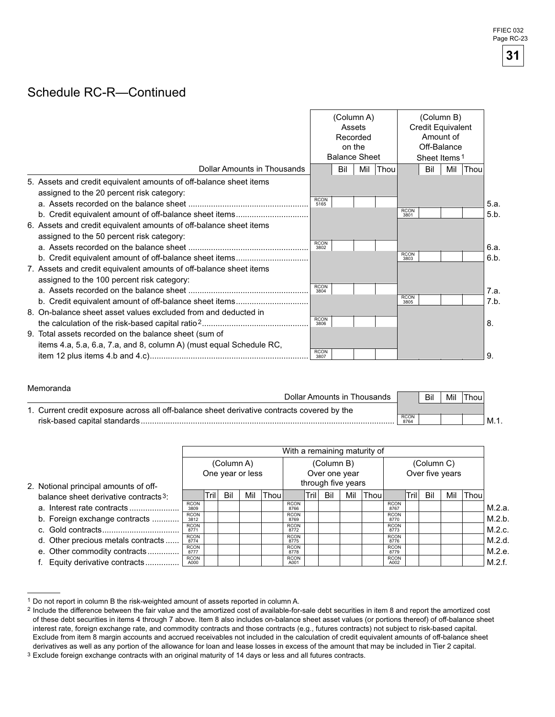### Schedule RC-R—Continued

| Dollar Amounts in Thousands                                                                                                  | (Column A)<br>Assets<br>Recorded<br>on the<br><b>Balance Sheet</b><br>Mil<br>Bil<br>Thou |  |  |  | (Column B)<br>Credit Equivalent<br>Off-Balance<br>Sheet Items <sup>1</sup><br>Thou |     |     |  |              |
|------------------------------------------------------------------------------------------------------------------------------|------------------------------------------------------------------------------------------|--|--|--|------------------------------------------------------------------------------------|-----|-----|--|--------------|
| 5. Assets and credit equivalent amounts of off-balance sheet items<br>assigned to the 20 percent risk category:              | <b>RCON</b><br>5165                                                                      |  |  |  |                                                                                    | Bil | Mil |  | 5.a.         |
| 6. Assets and credit equivalent amounts of off-balance sheet items<br>assigned to the 50 percent risk category:              |                                                                                          |  |  |  | <b>RCON</b><br>3801                                                                |     |     |  | 5.b.         |
| b. Credit equivalent amount of off-balance sheet items                                                                       | <b>RCON</b><br>3802                                                                      |  |  |  | <b>RCON</b><br>3803                                                                |     |     |  | 6.a.<br>6.b. |
| 7. Assets and credit equivalent amounts of off-balance sheet items<br>assigned to the 100 percent risk category:             | <b>RCON</b><br>3804                                                                      |  |  |  |                                                                                    |     |     |  | 7.a.         |
| 8. On-balance sheet asset values excluded from and deducted in                                                               | <b>RCON</b>                                                                              |  |  |  | <b>RCON</b><br>3805                                                                |     |     |  | 7.b.         |
| 9. Total assets recorded on the balance sheet (sum of<br>items 4.a, 5.a, 6.a, 7.a, and 8, column A) (must equal Schedule RC, | 3806                                                                                     |  |  |  |                                                                                    |     |     |  | 8.           |
|                                                                                                                              | <b>RCON</b><br>3807                                                                      |  |  |  |                                                                                    |     |     |  | 9            |

#### Memoranda

| Dollar Amounts in Thousands                                                                 |                     | Bil | Mil | Thou. |                  |
|---------------------------------------------------------------------------------------------|---------------------|-----|-----|-------|------------------|
| 1. Current credit exposure across all off-balance sheet derivative contracts covered by the |                     |     |     |       |                  |
| risk-based capital standards.                                                               | <b>RCON</b><br>8764 |     |     |       | $^{\prime}$ M.1. |

|                                                   |                     | With a remaining maturity of |            |               |       |                     |      |     |                    |       |                     |      |     |     |      |        |
|---------------------------------------------------|---------------------|------------------------------|------------|---------------|-------|---------------------|------|-----|--------------------|-------|---------------------|------|-----|-----|------|--------|
|                                                   |                     |                              | (Column A) |               |       | (Column B)          |      |     |                    |       | (Column C)          |      |     |     |      |        |
|                                                   | One year or less    |                              |            | Over one year |       |                     |      |     |                    |       | Over five years     |      |     |     |      |        |
| 2. Notional principal amounts of off-             |                     |                              |            |               |       |                     |      |     | through five years |       |                     |      |     |     |      |        |
| balance sheet derivative contracts <sup>3</sup> : |                     | Tril                         | Bil        | Mil           | Thoul |                     | Tril | Bil | Mil                | Thoul |                     | Tril | Bil | Mil | Thou |        |
| a. Interest rate contracts                        | <b>RCON</b><br>3809 |                              |            |               |       | <b>RCON</b><br>8766 |      |     |                    |       | <b>RCON</b><br>8767 |      |     |     |      | M.2.a. |
| b. Foreign exchange contracts                     | <b>RCON</b><br>3812 |                              |            |               |       | <b>RCON</b><br>8769 |      |     |                    |       | <b>RCON</b><br>8770 |      |     |     |      | M.2.b. |
|                                                   | <b>RCON</b><br>8771 |                              |            |               |       | <b>RCON</b><br>8772 |      |     |                    |       | <b>RCON</b><br>8773 |      |     |     |      | M.2.c. |
| d. Other precious metals contracts                | <b>RCON</b><br>8774 |                              |            |               |       | <b>RCON</b><br>8775 |      |     |                    |       | <b>RCON</b><br>8776 |      |     |     |      | M.2.d. |
| e. Other commodity contracts                      | <b>RCON</b><br>8777 |                              |            |               |       | <b>RCON</b><br>8778 |      |     |                    |       | <b>RCON</b><br>8779 |      |     |     |      | M.2.e. |
| Equity derivative contracts                       | <b>RCON</b><br>A000 |                              |            |               |       | <b>RCON</b><br>A001 |      |     |                    |       | <b>RCON</b><br>A002 |      |     |     |      | M.2.f. |

<sup>1</sup> Do not report in column B the risk-weighted amount of assets reported in column A.

**31** 

<sup>2</sup> Include the difference between the fair value and the amortized cost of available-for-sale debt securities in item 8 and report the amortized cost of these debt securities in items 4 through 7 above. Item 8 also includes on-balance sheet asset values (or portions thereof) of off-balance sheet interest rate, foreign exchange rate, and commodity contracts and those contracts (e.g., futures contracts) not subject to risk-based capital. Exclude from item 8 margin accounts and accrued receivables not included in the calculation of credit equivalent amounts of off-balance sheet derivatives as well as any portion of the allowance for loan and lease losses in excess of the amount that may be included in Tier 2 capital.

<sup>&</sup>lt;sup>3</sup> Exclude foreign exchange contracts with an original maturity of 14 days or less and all futures contracts.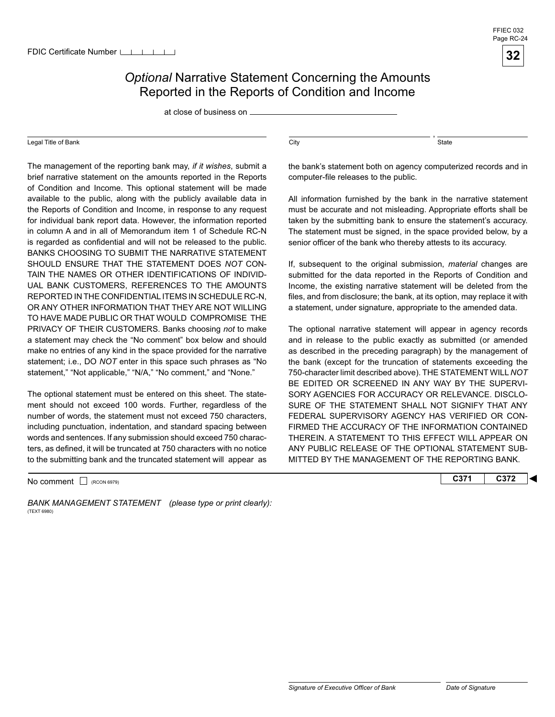

#### **Optional Narrative Statement Concerning the Amounts** Reported in the Reports of Condition and Income

at close of business on

#### Legal Title of Bank

 TO HAVE MADE PUBLIC OR THAT WOULD COMPROMISE THE The management of the reporting bank may, *if it wishes*, submit a brief narrative statement on the amounts reported in the Reports of Condition and Income. This optional statement will be made available to the public, along with the publicly available data in the Reports of Condition and Income, in response to any request for individual bank report data. However, the information reported in column A and in all of Memorandum item 1 of Schedule RC-N is regarded as confidential and will not be released to the public. BANKS CHOOSING TO SUBMIT THE NARRATIVE STATEMENT SHOULD ENSURE THAT THE STATEMENT DOES *NOT* CON-TAIN THE NAMES OR OTHER IDENTIFICATIONS OF INDIVID-UAL BANK CUSTOMERS, REFERENCES TO THE AMOUNTS REPORTED IN THE CONFIDENTIAL ITEMS IN SCHEDULE RC-N, OR ANY OTHER INFORMATION THAT THEY ARE NOT WILLING PRIVACY OF THEIR CUSTOMERS. Banks choosing *not* to make a statement may check the "No comment" box below and should make no entries of any kind in the space provided for the narrative statement; i.e., DO *NOT* enter in this space such phrases as "No statement," "Not applicable," "N/A," "No comment," and "None."

 to the submitting bank and the truncated statement will appear as The optional statement must be entered on this sheet. The statement should not exceed 100 words. Further, regardless of the number of words, the statement must not exceed 750 characters, including punctuation, indentation, and standard spacing between words and sentences. If any submission should exceed 750 characters, as defined, it will be truncated at 750 characters with no notice

No comment □ (RCON 6979) **C372 C372** 

BANK MANAGEMENT STATEMENT (please type or print clearly): (TEXT 6980)

 $\overline{\text{City}}$ ,  $\overline{\text{State}}$ 

the bank's statement both on agency computerized records and in computer-file releases to the public.

All information furnished by the bank in the narrative statement must be accurate and not misleading. Appropriate efforts shall be taken by the submitting bank to ensure the statement's accuracy. The statement must be signed, in the space provided below, by a senior officer of the bank who thereby attests to its accuracy.

If, subsequent to the original submission, *material* changes are submitted for the data reported in the Reports of Condition and Income, the existing narrative statement will be deleted from the files, and from disclosure; the bank, at its option, may replace it with a statement, under signature, appropriate to the amended data.

The optional narrative statement will appear in agency records and in release to the public exactly as submitted (or amended as described in the preceding paragraph) by the management of the bank (except for the truncation of statements exceeding the 750-character limit described above). THE STATEMENT WILL *NOT*  BE EDITED OR SCREENED IN ANY WAY BY THE SUPERVI-SORY AGENCIES FOR ACCURACY OR RELEVANCE. DISCLO-SURE OF THE STATEMENT SHALL NOT SIGNIFY THAT ANY FEDERAL SUPERVISORY AGENCY HAS VERIFIED OR CON-FIRMED THE ACCURACY OF THE INFORMATION CONTAINED THEREIN. A STATEMENT TO THIS EFFECT WILL APPEAR ON ANY PUBLIC RELEASE OF THE OPTIONAL STATEMENT SUB-MITTED BY THE MANAGEMENT OF THE REPORTING BANK.